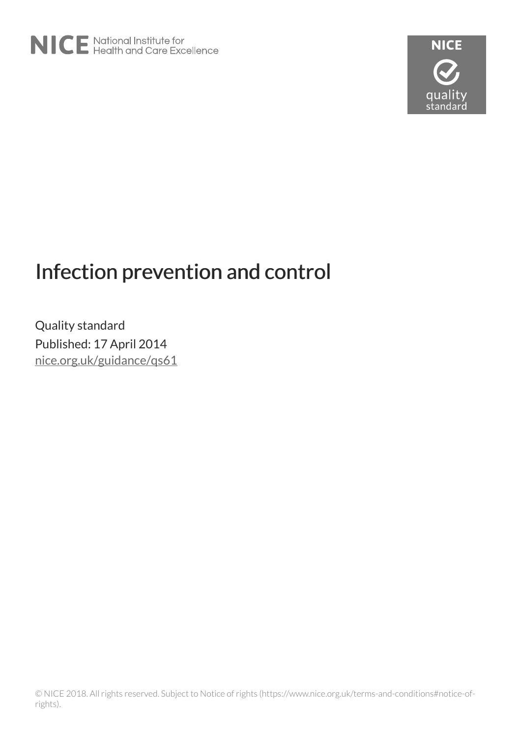

# Infection prevention and control

Quality standard Published: 17 April 2014 [nice.org.uk/guidance/qs61](http://nice.org.uk/guidance/qs61)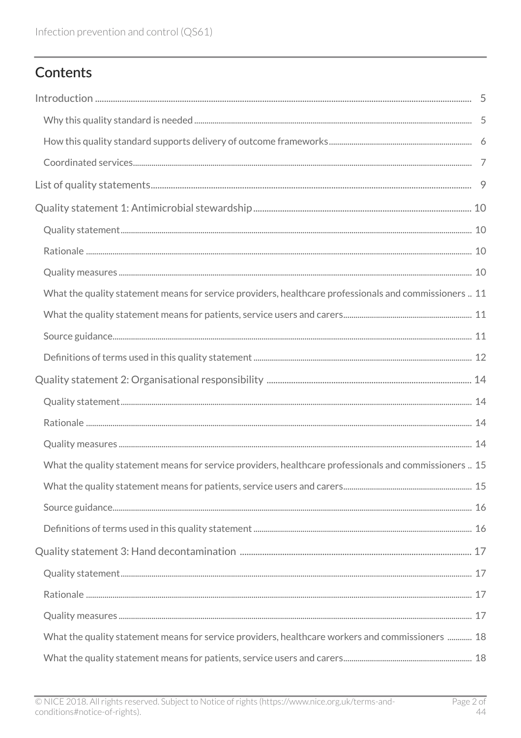# Contents

| What the quality statement means for service providers, healthcare professionals and commissioners  11 |  |
|--------------------------------------------------------------------------------------------------------|--|
|                                                                                                        |  |
|                                                                                                        |  |
|                                                                                                        |  |
|                                                                                                        |  |
|                                                                                                        |  |
|                                                                                                        |  |
|                                                                                                        |  |
| What the quality statement means for service providers, healthcare professionals and commissioners  15 |  |
|                                                                                                        |  |
|                                                                                                        |  |
|                                                                                                        |  |
|                                                                                                        |  |
|                                                                                                        |  |
|                                                                                                        |  |
|                                                                                                        |  |
| What the quality statement means for service providers, healthcare workers and commissioners  18       |  |
|                                                                                                        |  |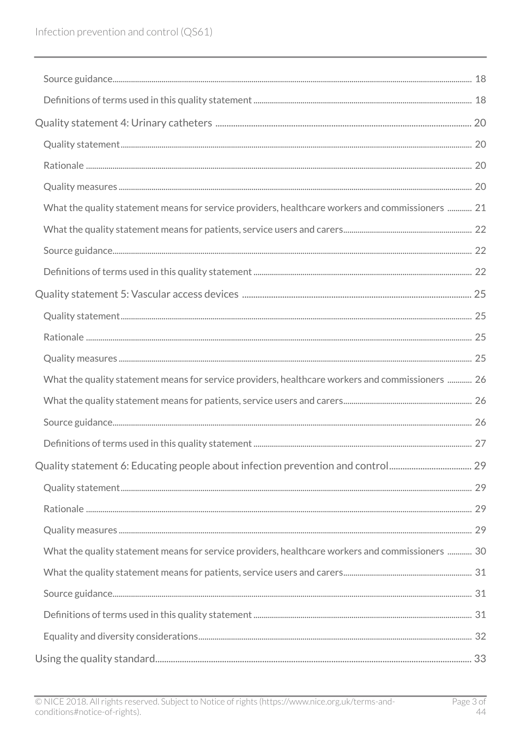| What the quality statement means for service providers, healthcare workers and commissioners  21 |  |
|--------------------------------------------------------------------------------------------------|--|
|                                                                                                  |  |
|                                                                                                  |  |
|                                                                                                  |  |
|                                                                                                  |  |
|                                                                                                  |  |
|                                                                                                  |  |
|                                                                                                  |  |
| What the quality statement means for service providers, healthcare workers and commissioners  26 |  |
|                                                                                                  |  |
|                                                                                                  |  |
|                                                                                                  |  |
| Quality statement 6: Educating people about infection prevention and control 29                  |  |
|                                                                                                  |  |
|                                                                                                  |  |
|                                                                                                  |  |
| What the quality statement means for service providers, healthcare workers and commissioners  30 |  |
|                                                                                                  |  |
|                                                                                                  |  |
|                                                                                                  |  |
|                                                                                                  |  |
|                                                                                                  |  |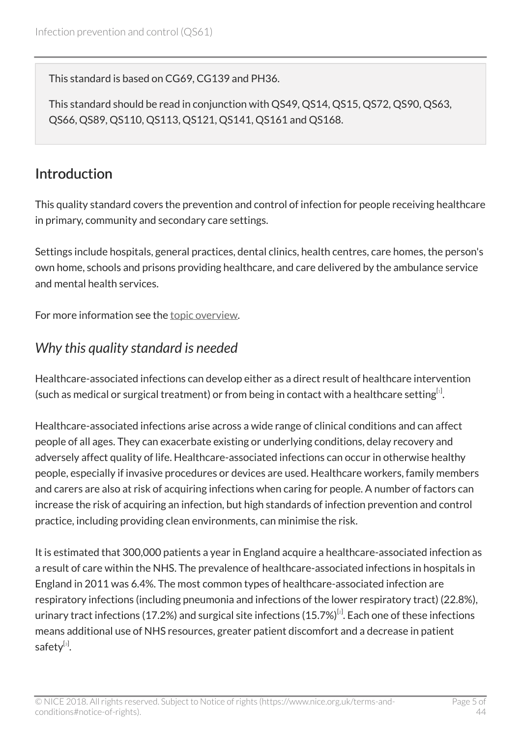This standard is based on CG69, CG139 and PH36.

This standard should be read in conjunction with QS49, QS14, QS15, QS72, QS90, QS63, QS66, QS89, QS110, QS113, QS121, QS141, QS161 and QS168.

# <span id="page-4-0"></span>Introduction

This quality standard covers the prevention and control of infection for people receiving healthcare in primary, community and secondary care settings.

Settings include hospitals, general practices, dental clinics, health centres, care homes, the person's own home, schools and prisons providing healthcare, and care delivered by the ambulance service and mental health services.

For more information see the [topic overview.](http://www.nice.org.uk/guidance/qs61/documents)

# <span id="page-4-1"></span>*Why this quality standard is needed*

<span id="page-4-2"></span>Healthcare-associated infections can develop either as a direct result of healthcare intervention (such as medical or surgical treatment) or from being in contact with a healthcare setting $^{[i]}$ .

Healthcare-associated infections arise across a wide range of clinical conditions and can affect people of all ages. They can exacerbate existing or underlying conditions, delay recovery and adversely affect quality of life. Healthcare-associated infections can occur in otherwise healthy people, especially if invasive procedures or devices are used. Healthcare workers, family members and carers are also at risk of acquiring infections when caring for people. A number of factors can increase the risk of acquiring an infection, but high standards of infection prevention and control practice, including providing clean environments, can minimise the risk.

<span id="page-4-4"></span><span id="page-4-3"></span>It is estimated that 300,000 patients a year in England acquire a healthcare-associated infection as a result of care within the NHS. The prevalence of healthcare-associated infections in hospitals in England in 2011 was 6.4%. The most common types of healthcare-associated infection are respiratory infections (including pneumonia and infections of the lower respiratory tract) (22.8%), urinary tract infections (17.[2](#page-7-1)%) and surgical site infections (15.7%) $^{\lbrack\rm 2\rbrack}$ . Each one of these infections means additional use of NHS resources, greater patient discomfort and a decrease in patient safety $^{[3]}$  $^{[3]}$  $^{[3]}$ .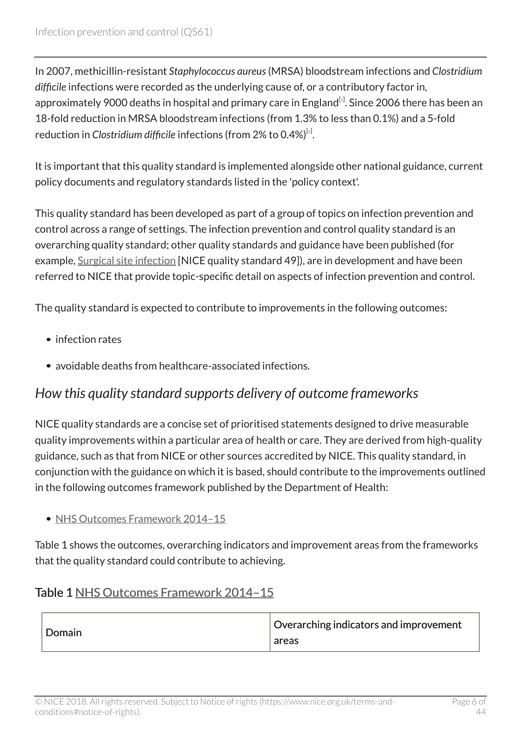In 2007, methicillin-resistant *Staphylococcus aureus*(MRSA) bloodstream infections and *Clostridium difficile* infections were recorded as the underlying cause of, or a contributory factor in, approximately 9000 deaths in hospital and primary care in England<sup>[[3](#page-7-2)]</sup>. Since 2006 there has been an 18-fold reduction in MRSA bloodstream infections (from 1.3% to less than 0.1%) and a 5-fold reduction in *Clostridium difficile infections (from [2](#page-7-1)% to 0.4%)<sup>[2]</sup>.* 

It is important that this quality standard is implemented alongside other national guidance, current policy documents and regulatory standards listed in the 'policy context'.

This quality standard has been developed as part of a group of topics on infection prevention and control across a range of settings. The infection prevention and control quality standard is an overarching quality standard; other quality standards and guidance have been published (for example, [Surgical site infection](http://www.nice.org.uk/guidance/qs49) [NICE quality standard 49]), are in development and have been referred to NICE that provide topic-specific detail on aspects of infection prevention and control.

The quality standard is expected to contribute to improvements in the following outcomes:

- infection rates
- avoidable deaths from healthcare-associated infections.

### <span id="page-5-0"></span>*How this quality standard supports delivery of outcome frameworks*

NICE quality standards are a concise set of prioritised statements designed to drive measurable quality improvements within a particular area of health or care. They are derived from high-quality guidance, such as that from NICE or other sources accredited by NICE. This quality standard, in conjunction with the guidance on which it is based, should contribute to the improvements outlined in the following outcomes framework published by the Department of Health:

#### • NHS Outcomes Framework 2014-15

Table 1 shows the outcomes, overarching indicators and improvement areas from the frameworks that the quality standard could contribute to achieving.

#### Table 1 [NHS Outcomes Framework 2014–15](https://www.gov.uk/government/publications/nhs-outcomes-framework-2014-to-2015)

| Domain | Overarching indicators and improvement<br>areas |
|--------|-------------------------------------------------|
|--------|-------------------------------------------------|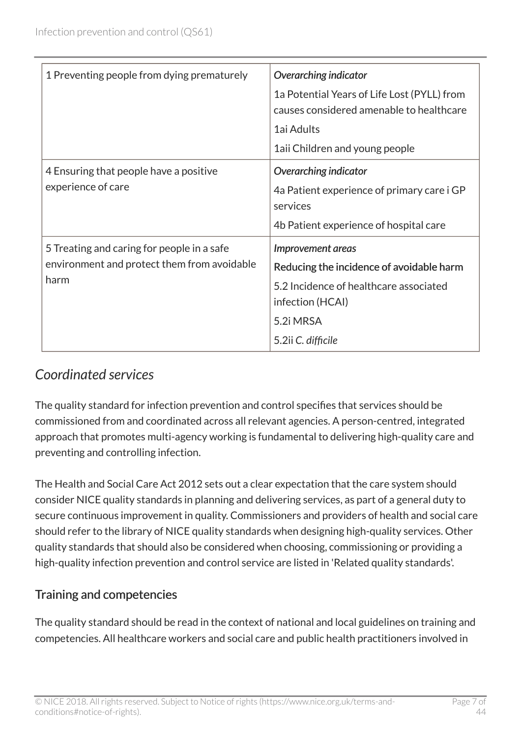| 1 Preventing people from dying prematurely                                                        | Overarching indicator<br>1a Potential Years of Life Lost (PYLL) from<br>causes considered amenable to healthcare<br>1ai Adults<br>1aii Children and young people |
|---------------------------------------------------------------------------------------------------|------------------------------------------------------------------------------------------------------------------------------------------------------------------|
| 4 Ensuring that people have a positive<br>experience of care                                      | Overarching indicator<br>4a Patient experience of primary care i GP<br>services<br>4b Patient experience of hospital care                                        |
| 5 Treating and caring for people in a safe<br>environment and protect them from avoidable<br>harm | Improvement areas<br>Reducing the incidence of avoidable harm<br>5.2 Incidence of healthcare associated<br>infection (HCAI)<br>5.2i MRSA<br>5.2ii C. difficile   |

# <span id="page-6-0"></span>*Coordinated services*

The quality standard for infection prevention and control specifies that services should be commissioned from and coordinated across all relevant agencies. A person-centred, integrated approach that promotes multi-agency working is fundamental to delivering high-quality care and preventing and controlling infection.

The Health and Social Care Act 2012 sets out a clear expectation that the care system should consider NICE quality standards in planning and delivering services, as part of a general duty to secure continuous improvement in quality. Commissioners and providers of health and social care should refer to the library of NICE quality standards when designing high-quality services. Other quality standards that should also be considered when choosing, commissioning or providing a high-quality infection prevention and control service are listed in 'Related quality standards'.

#### Training and competencies

The quality standard should be read in the context of national and local guidelines on training and competencies. All healthcare workers and social care and public health practitioners involved in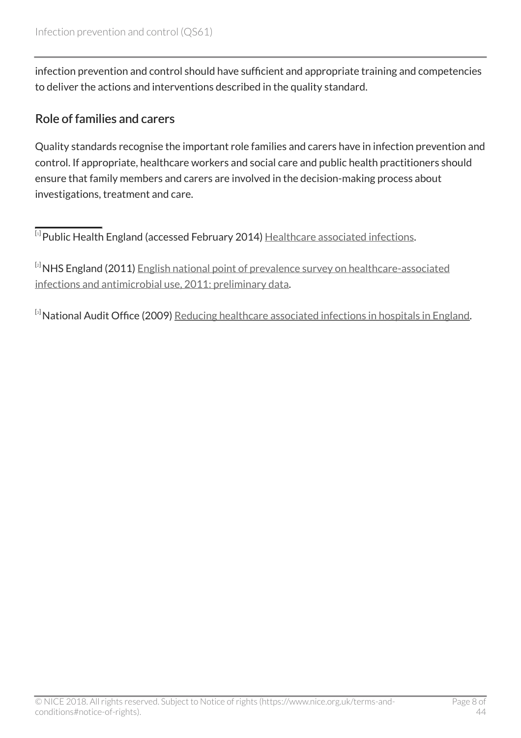infection prevention and control should have sufficient and appropriate training and competencies to deliver the actions and interventions described in the quality standard.

#### Role of families and carers

Quality standards recognise the important role families and carers have in infection prevention and control. If appropriate, healthcare workers and social care and public health practitioners should ensure that family members and carers are involved in the decision-making process about investigations, treatment and care.

<span id="page-7-0"></span> $^{\left[ \textrm{1}\right]}$  $^{\left[ \textrm{1}\right]}$  $^{\left[ \textrm{1}\right]}$ Public Health England (accessed February 2014) <u>Healthcare associated infections</u>.

<span id="page-7-1"></span>[[2](#page-4-3)] NHS England (2011) [English national point of prevalence survey on healthcare-associated](http://www.hpa.org.uk/Topics/InfectiousDiseases/InfectionsAZ/HCAI/HCAIPointPrevalenceSurvey/) [infections and antimicrobial use, 2011: preliminary data.](http://www.hpa.org.uk/Topics/InfectiousDiseases/InfectionsAZ/HCAI/HCAIPointPrevalenceSurvey/)

<span id="page-7-2"></span>[[3](#page-4-4)] National Audit Office (2009) [Reducing healthcare associated infections in hospitals in England](http://www.nao.org.uk/report/reducing-healthcare-associated-infections-in-hospitals-in-england/).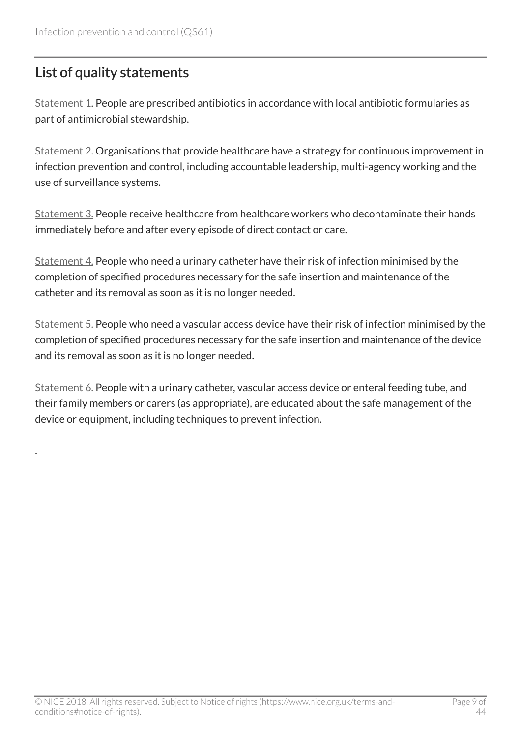# <span id="page-8-0"></span>List of quality statements

.

[Statement 1](http://www.nice.org.uk/guidance/qs61/chapter/quality-statement-1-antimicrobial-stewardship). People are prescribed antibiotics in accordance with local antibiotic formularies as part of antimicrobial stewardship.

[Statement 2](http://www.nice.org.uk/guidance/qs61/chapter/quality-statement-2-organisational-responsibility). Organisations that provide healthcare have a strategy for continuous improvement in infection prevention and control, including accountable leadership, multi-agency working and the use of surveillance systems.

[Statement 3.](http://www.nice.org.uk/guidance/qs61/chapter/quality-statement-3-hand-decontamination) People receive healthcare from healthcare workers who decontaminate their hands immediately before and after every episode of direct contact or care.

[Statement 4.](http://www.nice.org.uk/guidance/qs61/chapter/quality-statement-4-urinary-catheters) People who need a urinary catheter have their risk of infection minimised by the completion of specified procedures necessary for the safe insertion and maintenance of the catheter and its removal as soon as it is no longer needed.

[Statement 5.](http://www.nice.org.uk/guidance/qs61/chapter/quality-statement-5-vascular-access-devices) People who need a vascular access device have their risk of infection minimised by the completion of specified procedures necessary for the safe insertion and maintenance of the device and its removal as soon as it is no longer needed.

[Statement 6.](http://www.nice.org.uk/guidance/qs61/chapter/quality-statement-6-educating-people-about-infection-prevention-and-control) People with a urinary catheter, vascular access device or enteral feeding tube, and their family members or carers (as appropriate), are educated about the safe management of the device or equipment, including techniques to prevent infection.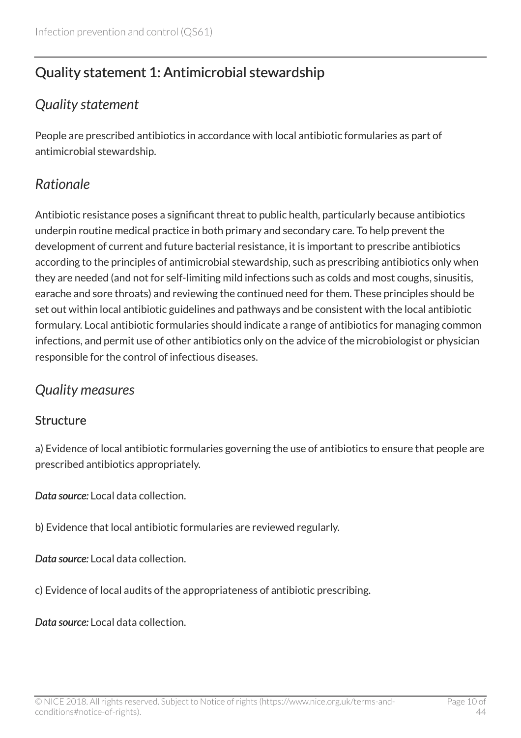# <span id="page-9-0"></span>Quality statement 1: Antimicrobial stewardship

### <span id="page-9-1"></span>*Quality statement*

People are prescribed antibiotics in accordance with local antibiotic formularies as part of antimicrobial stewardship.

# <span id="page-9-2"></span>*Rationale*

Antibiotic resistance poses a significant threat to public health, particularly because antibiotics underpin routine medical practice in both primary and secondary care. To help prevent the development of current and future bacterial resistance, it is important to prescribe antibiotics according to the principles of antimicrobial stewardship, such as prescribing antibiotics only when they are needed (and not for self-limiting mild infections such as colds and most coughs, sinusitis, earache and sore throats) and reviewing the continued need for them. These principles should be set out within local antibiotic guidelines and pathways and be consistent with the local antibiotic formulary. Local antibiotic formularies should indicate a range of antibiotics for managing common infections, and permit use of other antibiotics only on the advice of the microbiologist or physician responsible for the control of infectious diseases.

### <span id="page-9-3"></span>*Quality measures*

#### **Structure**

a) Evidence of local antibiotic formularies governing the use of antibiotics to ensure that people are prescribed antibiotics appropriately.

*Data source:* Local data collection.

b) Evidence that local antibiotic formularies are reviewed regularly.

*Data source:* Local data collection.

c) Evidence of local audits of the appropriateness of antibiotic prescribing.

*Data source:* Local data collection.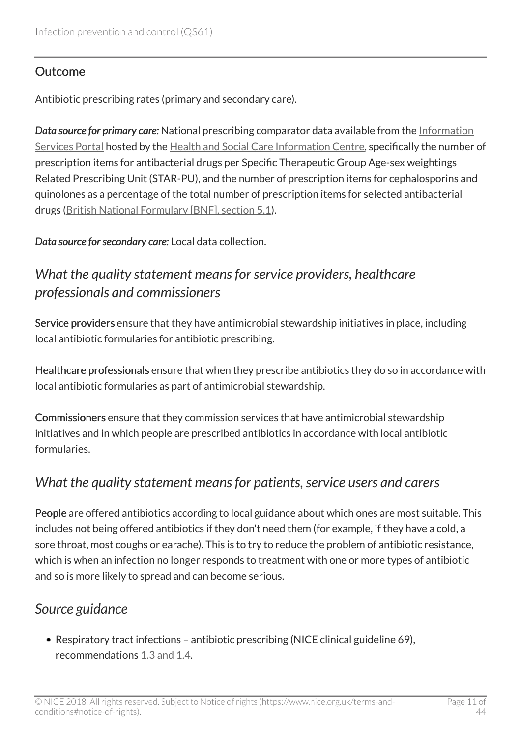#### **Outcome**

Antibiotic prescribing rates (primary and secondary care).

*Data source for primary care:* National prescribing comparator data available from the [Information](https://apps.nhsbsa.nhs.uk/infosystems/welcome) [Services Portal](https://apps.nhsbsa.nhs.uk/infosystems/welcome) hosted by the [Health and Social Care Information Centre](http://www.hscic.gov.uk/home), specifically the number of prescription items for antibacterial drugs per Specific Therapeutic Group Age-sex weightings Related Prescribing Unit (STAR-PU), and the number of prescription items for cephalosporins and quinolones as a percentage of the total number of prescription items for selected antibacterial drugs [\(British National Formulary \[BNF\], section 5.1\)](http://www.evidence.nhs.uk/formulary/bnf/current/5-infections/51-antibacterial-drugs).

*Data source for secondary care:* Local data collection.

### <span id="page-10-0"></span>*What the quality statement means for service providers, healthcare professionals and commissioners*

Service providers ensure that they have antimicrobial stewardship initiatives in place, including local antibiotic formularies for antibiotic prescribing.

Healthcare professionals ensure that when they prescribe antibiotics they do so in accordance with local antibiotic formularies as part of antimicrobial stewardship.

Commissioners ensure that they commission services that have antimicrobial stewardship initiatives and in which people are prescribed antibiotics in accordance with local antibiotic formularies.

### <span id="page-10-1"></span>*What the quality statement means for patients, service users and carers*

People are offered antibiotics according to local guidance about which ones are most suitable. This includes not being offered antibiotics if they don't need them (for example, if they have a cold, a sore throat, most coughs or earache). This is to try to reduce the problem of antibiotic resistance, which is when an infection no longer responds to treatment with one or more types of antibiotic and so is more likely to spread and can become serious.

### <span id="page-10-2"></span>*Source guidance*

• Respiratory tract infections – antibiotic prescribing (NICE clinical guideline 69), recommendations [1.3 and 1.4.](http://www.nice.org.uk/guidance/cg69/chapter/guidance#the-clinical-effectiveness-and-cost-effectiveness-of-antibiotic-management-strategies-for)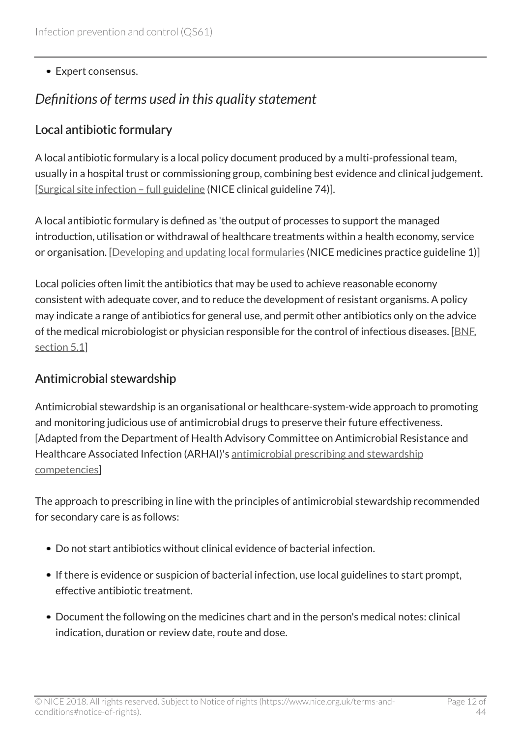• Expert consensus.

### <span id="page-11-0"></span>*Definitions of terms used in this quality statement*

### Local antibiotic formulary

A local antibiotic formulary is a local policy document produced by a multi-professional team, usually in a hospital trust or commissioning group, combining best evidence and clinical judgement. [[Surgical site infection – full guideline](http://www.nice.org.uk/guidance/CG74/evidence) (NICE clinical guideline 74)].

A local antibiotic formulary is defined as 'the output of processes to support the managed introduction, utilisation or withdrawal of healthcare treatments within a health economy, service or organisation. [[Developing and updating local formularies](http://www.nice.org.uk/guidance/mpg1) (NICE medicines practice guideline 1)]

Local policies often limit the antibiotics that may be used to achieve reasonable economy consistent with adequate cover, and to reduce the development of resistant organisms. A policy may indicate a range of antibiotics for general use, and permit other antibiotics only on the advice of the medical microbiologist or physician responsible for the control of infectious diseases. [[BNF,](http://www.evidence.nhs.uk/formulary/bnf/current/5-infections/51-antibacterial-drugs) [section 5.1\]](http://www.evidence.nhs.uk/formulary/bnf/current/5-infections/51-antibacterial-drugs)

#### Antimicrobial stewardship

Antimicrobial stewardship is an organisational or healthcare-system-wide approach to promoting and monitoring judicious use of antimicrobial drugs to preserve their future effectiveness. [Adapted from the Department of Health Advisory Committee on Antimicrobial Resistance and Healthcare Associated Infection (ARHAI)'s [antimicrobial prescribing and stewardship](https://www.gov.uk/government/publications/antimicrobial-prescribing-and-stewardship-competencies) [competencies\]](https://www.gov.uk/government/publications/antimicrobial-prescribing-and-stewardship-competencies)

The approach to prescribing in line with the principles of antimicrobial stewardship recommended for secondary care is as follows:

- Do not start antibiotics without clinical evidence of bacterial infection.
- If there is evidence or suspicion of bacterial infection, use local guidelines to start prompt, effective antibiotic treatment.
- Document the following on the medicines chart and in the person's medical notes: clinical indication, duration or review date, route and dose.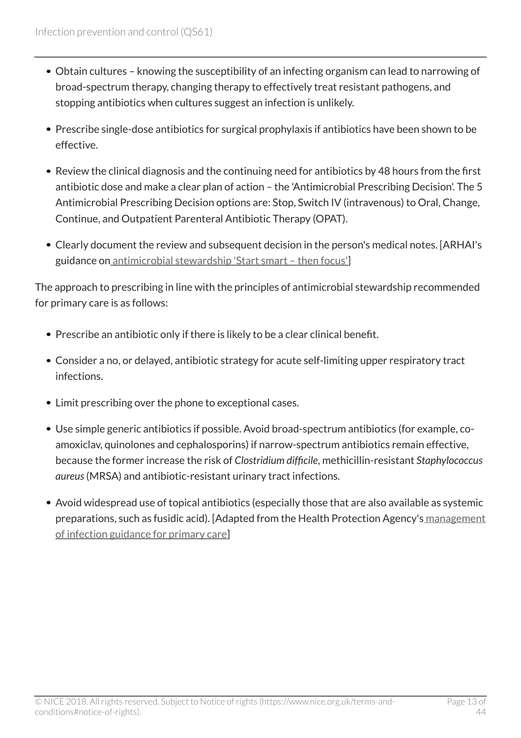- Obtain cultures knowing the susceptibility of an infecting organism can lead to narrowing of broad-spectrum therapy, changing therapy to effectively treat resistant pathogens, and stopping antibiotics when cultures suggest an infection is unlikely.
- Prescribe single-dose antibiotics for surgical prophylaxis if antibiotics have been shown to be effective.
- Review the clinical diagnosis and the continuing need for antibiotics by 48 hours from the first antibiotic dose and make a clear plan of action – the 'Antimicrobial Prescribing Decision'. The 5 Antimicrobial Prescribing Decision options are: Stop, Switch IV (intravenous) to Oral, Change, Continue, and Outpatient Parenteral Antibiotic Therapy (OPAT).
- Clearly document the review and subsequent decision in the person's medical notes. [ARHAI's guidance on [antimicrobial stewardship 'Start smart – then focus'](https://www.gov.uk/government/publications/antimicrobial-stewardship-start-smart-then-focus)]

The approach to prescribing in line with the principles of antimicrobial stewardship recommended for primary care is as follows:

- Prescribe an antibiotic only if there is likely to be a clear clinical benefit.
- Consider a no, or delayed, antibiotic strategy for acute self-limiting upper respiratory tract infections.
- Limit prescribing over the phone to exceptional cases.
- Use simple generic antibiotics if possible. Avoid broad-spectrum antibiotics (for example, coamoxiclav, quinolones and cephalosporins) if narrow-spectrum antibiotics remain effective, because the former increase the risk of *Clostridium difficile*, methicillin-resistant *Staphylococcus aureus*(MRSA) and antibiotic-resistant urinary tract infections.
- Avoid widespread use of topical antibiotics (especially those that are also available as systemic preparations, such as fusidic acid). [Adapted from the Health Protection Agency's [management](http://www.hpa.org.uk/infections/topics_az/primary_care_guidance/) [of infection guidance for primary care](http://www.hpa.org.uk/infections/topics_az/primary_care_guidance/)]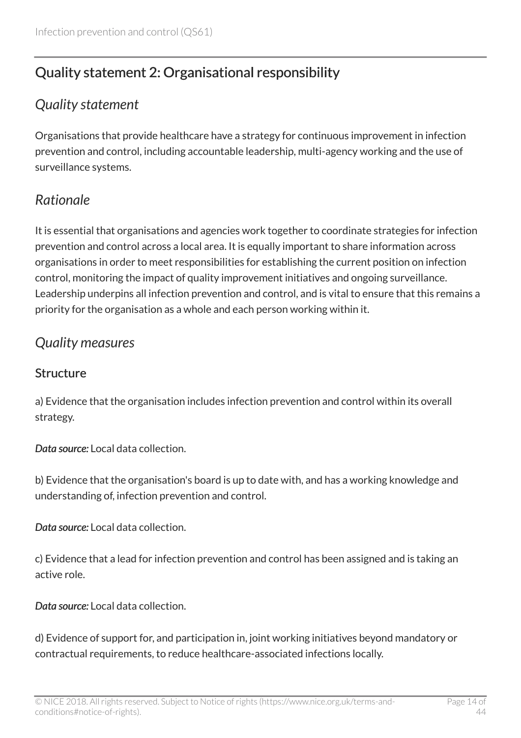# <span id="page-13-0"></span>Quality statement 2: Organisational responsibility

### <span id="page-13-1"></span>*Quality statement*

Organisations that provide healthcare have a strategy for continuous improvement in infection prevention and control, including accountable leadership, multi-agency working and the use of surveillance systems.

# <span id="page-13-2"></span>*Rationale*

It is essential that organisations and agencies work together to coordinate strategies for infection prevention and control across a local area. It is equally important to share information across organisations in order to meet responsibilities for establishing the current position on infection control, monitoring the impact of quality improvement initiatives and ongoing surveillance. Leadership underpins all infection prevention and control, and is vital to ensure that this remains a priority for the organisation as a whole and each person working within it.

### <span id="page-13-3"></span>*Quality measures*

#### **Structure**

a) Evidence that the organisation includes infection prevention and control within its overall strategy.

*Data source:* Local data collection.

b) Evidence that the organisation's board is up to date with, and has a working knowledge and understanding of, infection prevention and control.

*Data source:* Local data collection.

c) Evidence that a lead for infection prevention and control has been assigned and is taking an active role.

*Data source:* Local data collection.

d) Evidence of support for, and participation in, joint working initiatives beyond mandatory or contractual requirements, to reduce healthcare-associated infections locally.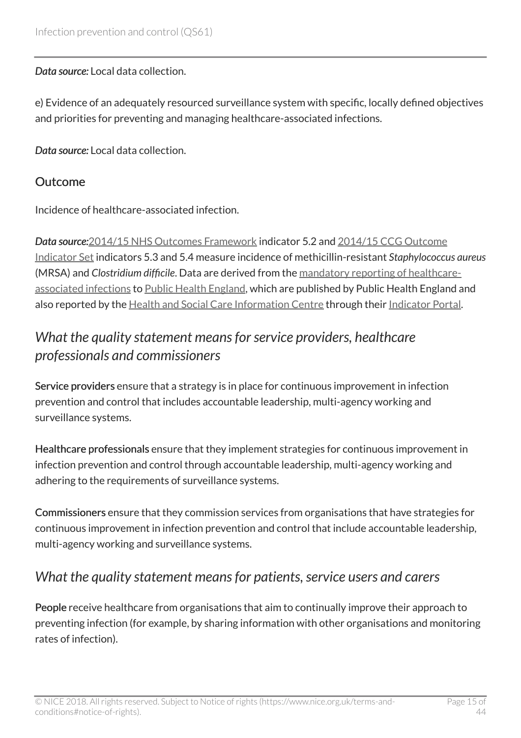#### *Data source:* Local data collection.

e) Evidence of an adequately resourced surveillance system with specific, locally defined objectives and priorities for preventing and managing healthcare-associated infections.

*Data source:* Local data collection.

#### **Outcome**

Incidence of healthcare-associated infection.

*Data source:*[2014/15 NHS Outcomes Framework](https://www.gov.uk/government/publications/nhs-outcomes-framework-2014-to-2015) indicator 5.2 and [2014/15 CCG Outcome](http://www.england.nhs.uk/ccg-ois) [Indicator Set](http://www.england.nhs.uk/ccg-ois) indicators 5.3 and 5.4 measure incidence of methicillin-resistant *Staphylococcus aureus* (MRSA) and *Clostridium difficile*. Data are derived from the [mandatory reporting of healthcare](http://www.hpa.org.uk/web/HPAweb&HPAwebStandard/HPAweb_C/1244763936373)[associated infections](http://www.hpa.org.uk/web/HPAweb&HPAwebStandard/HPAweb_C/1244763936373) to [Public Health England](https://www.gov.uk/government/organisations/public-health-england), which are published by Public Health England and also reported by the [Health and Social Care Information Centre](http://www.hscic.gov.uk/) through their [Indicator Portal.](https://indicators.ic.nhs.uk/webview/)

### <span id="page-14-0"></span>*What the quality statement means for service providers, healthcare professionals and commissioners*

Service providers ensure that a strategy is in place for continuous improvement in infection prevention and control that includes accountable leadership, multi-agency working and surveillance systems.

Healthcare professionals ensure that they implement strategies for continuous improvement in infection prevention and control through accountable leadership, multi-agency working and adhering to the requirements of surveillance systems.

Commissioners ensure that they commission services from organisations that have strategies for continuous improvement in infection prevention and control that include accountable leadership, multi-agency working and surveillance systems.

### <span id="page-14-1"></span>*What the quality statement means for patients, service users and carers*

People receive healthcare from organisations that aim to continually improve their approach to preventing infection (for example, by sharing information with other organisations and monitoring rates of infection).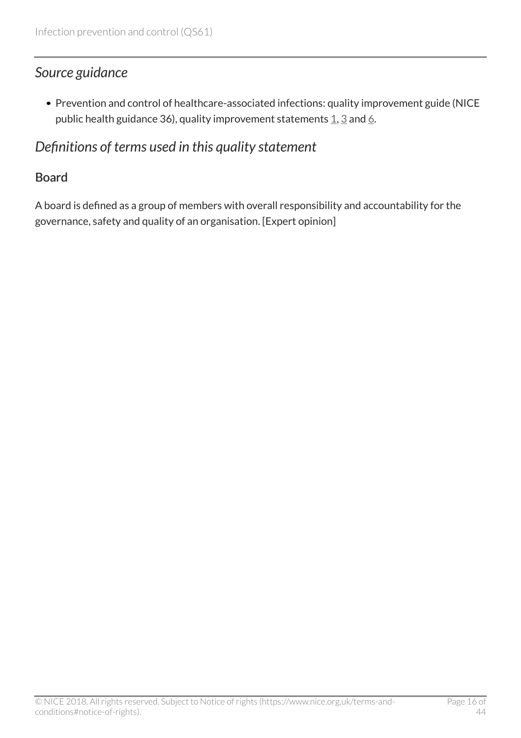### <span id="page-15-0"></span>*Source guidance*

Prevention and control of healthcare-associated infections: quality improvement guide (NICE public health guidance [3](http://www.nice.org.uk/guidance/ph36/chapter/quality-improvement-statement-3-hcai-surveillance)[6](http://www.nice.org.uk/guidance/ph36/chapter/quality-improvement-statement-6-multi-agency-working-to-reduce-hcais)), quality improvement statements  $1, 3$  $1, 3$  and 6.

### <span id="page-15-1"></span>*Definitions of terms used in this quality statement*

#### Board

A board is defined as a group of members with overall responsibility and accountability for the governance, safety and quality of an organisation. [Expert opinion]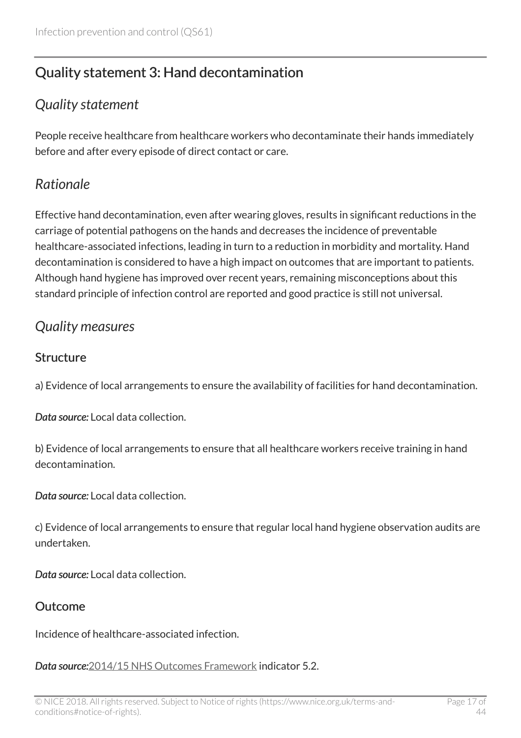# <span id="page-16-0"></span>Quality statement 3: Hand decontamination

### <span id="page-16-1"></span>*Quality statement*

People receive healthcare from healthcare workers who decontaminate their hands immediately before and after every episode of direct contact or care.

### <span id="page-16-2"></span>*Rationale*

Effective hand decontamination, even after wearing gloves, results in significant reductions in the carriage of potential pathogens on the hands and decreases the incidence of preventable healthcare-associated infections, leading in turn to a reduction in morbidity and mortality. Hand decontamination is considered to have a high impact on outcomes that are important to patients. Although hand hygiene has improved over recent years, remaining misconceptions about this standard principle of infection control are reported and good practice is still not universal.

### <span id="page-16-3"></span>*Quality measures*

#### **Structure**

a) Evidence of local arrangements to ensure the availability of facilities for hand decontamination.

*Data source:* Local data collection.

b) Evidence of local arrangements to ensure that all healthcare workers receive training in hand decontamination.

*Data source:* Local data collection.

c) Evidence of local arrangements to ensure that regular local hand hygiene observation audits are undertaken.

*Data source:* Local data collection.

#### Outcome

Incidence of healthcare-associated infection.

*Data source:*[2014/15 NHS Outcomes Framework](https://www.gov.uk/government/publications/nhs-outcomes-framework-2014-to-2015) indicator 5.2.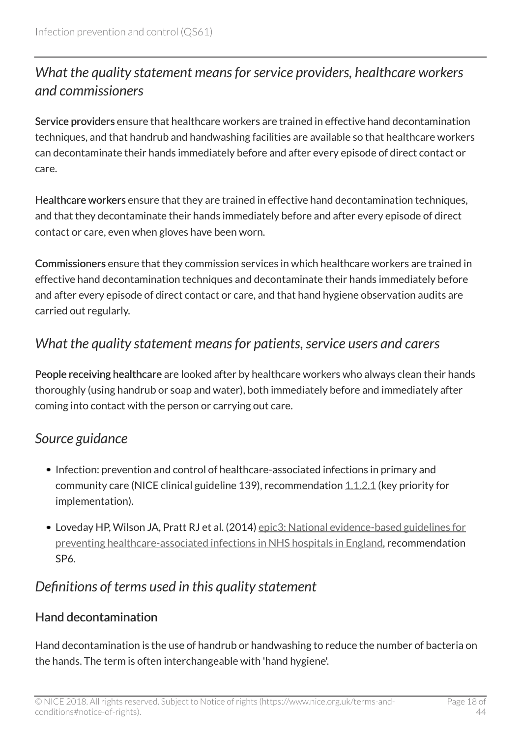# <span id="page-17-0"></span>*What the quality statement means for service providers, healthcare workers and commissioners*

Service providers ensure that healthcare workers are trained in effective hand decontamination techniques, and that handrub and handwashing facilities are available so that healthcare workers can decontaminate their hands immediately before and after every episode of direct contact or care.

Healthcare workers ensure that they are trained in effective hand decontamination techniques, and that they decontaminate their hands immediately before and after every episode of direct contact or care, even when gloves have been worn.

Commissioners ensure that they commission services in which healthcare workers are trained in effective hand decontamination techniques and decontaminate their hands immediately before and after every episode of direct contact or care, and that hand hygiene observation audits are carried out regularly.

### <span id="page-17-1"></span>*What the quality statement means for patients, service users and carers*

People receiving healthcare are looked after by healthcare workers who always clean their hands thoroughly (using handrub or soap and water), both immediately before and immediately after coming into contact with the person or carrying out care.

### <span id="page-17-2"></span>*Source guidance*

- Infection: prevention and control of healthcare-associated infections in primary and community care (NICE clinical guideline 139), recommendation [1.1.2.1](http://www.nice.org.uk/guidance/cg139/chapter/guidance#hand-decontamination) (key priority for implementation).
- Loveday HP, Wilson JA, Pratt RJ et al. (2014) [epic3: National evidence-based guidelines for](http://www.journalofhospitalinfection.com/article/S0195-6701(13)60012-2/fulltext) [preventing healthcare-associated infections in NHS hospitals in England](http://www.journalofhospitalinfection.com/article/S0195-6701(13)60012-2/fulltext), recommendation SP6.

# <span id="page-17-3"></span>*Definitions of terms used in this quality statement*

#### Hand decontamination

Hand decontamination is the use of handrub or handwashing to reduce the number of bacteria on the hands. The term is often interchangeable with 'hand hygiene'.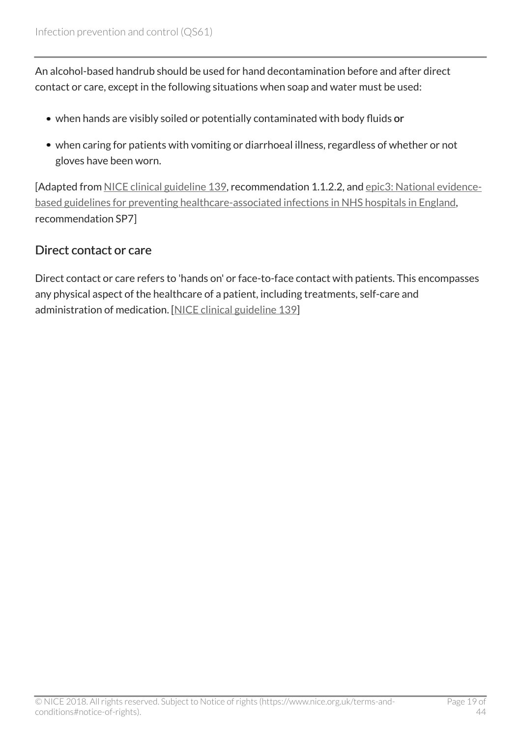An alcohol-based handrub should be used for hand decontamination before and after direct contact or care, except in the following situations when soap and water must be used:

- when hands are visibly soiled or potentially contaminated with body fluids or
- when caring for patients with vomiting or diarrhoeal illness, regardless of whether or not gloves have been worn.

[Adapted from [NICE clinical guideline 139,](http://www.nice.org.uk/guidance/cg139) recommendation 1.1.2.2, and [epic3: National evidence](http://www.journalofhospitalinfection.com/article/S0195-6701(13)60012-2/fulltext)[based guidelines for preventing healthcare-associated infections in NHS hospitals in England,](http://www.journalofhospitalinfection.com/article/S0195-6701(13)60012-2/fulltext) recommendation SP7]

### Direct contact or care

Direct contact or care refers to 'hands on' or face-to-face contact with patients. This encompasses any physical aspect of the healthcare of a patient, including treatments, self-care and administration of medication. [\[NICE clinical guideline 139](http://www.nice.org.uk/guidance/cg139)]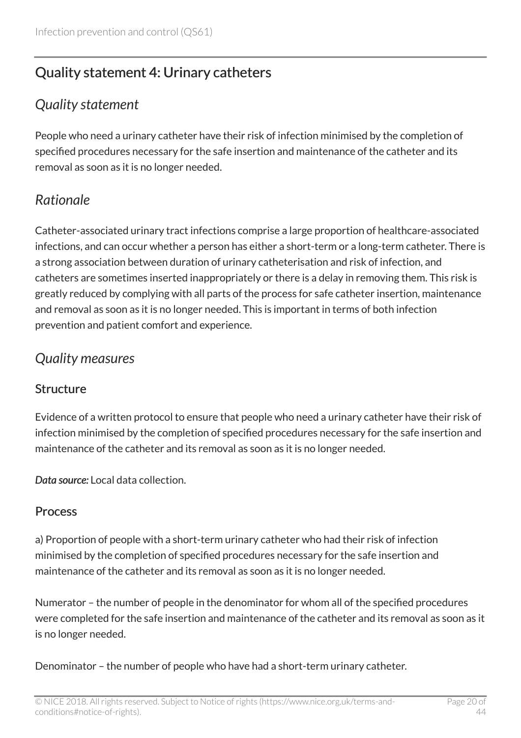# <span id="page-19-0"></span>Quality statement 4: Urinary catheters

### <span id="page-19-1"></span>*Quality statement*

People who need a urinary catheter have their risk of infection minimised by the completion of specified procedures necessary for the safe insertion and maintenance of the catheter and its removal as soon as it is no longer needed.

# <span id="page-19-2"></span>*Rationale*

Catheter-associated urinary tract infections comprise a large proportion of healthcare-associated infections, and can occur whether a person has either a short-term or a long-term catheter. There is a strong association between duration of urinary catheterisation and risk of infection, and catheters are sometimes inserted inappropriately or there is a delay in removing them. This risk is greatly reduced by complying with all parts of the process for safe catheter insertion, maintenance and removal as soon as it is no longer needed. This is important in terms of both infection prevention and patient comfort and experience.

### <span id="page-19-3"></span>*Quality measures*

#### **Structure**

Evidence of a written protocol to ensure that people who need a urinary catheter have their risk of infection minimised by the completion of specified procedures necessary for the safe insertion and maintenance of the catheter and its removal as soon as it is no longer needed.

*Data source:* Local data collection.

#### Process

a) Proportion of people with a short-term urinary catheter who had their risk of infection minimised by the completion of specified procedures necessary for the safe insertion and maintenance of the catheter and its removal as soon as it is no longer needed.

Numerator – the number of people in the denominator for whom all of the specified procedures were completed for the safe insertion and maintenance of the catheter and its removal as soon as it is no longer needed.

Denominator – the number of people who have had a short-term urinary catheter.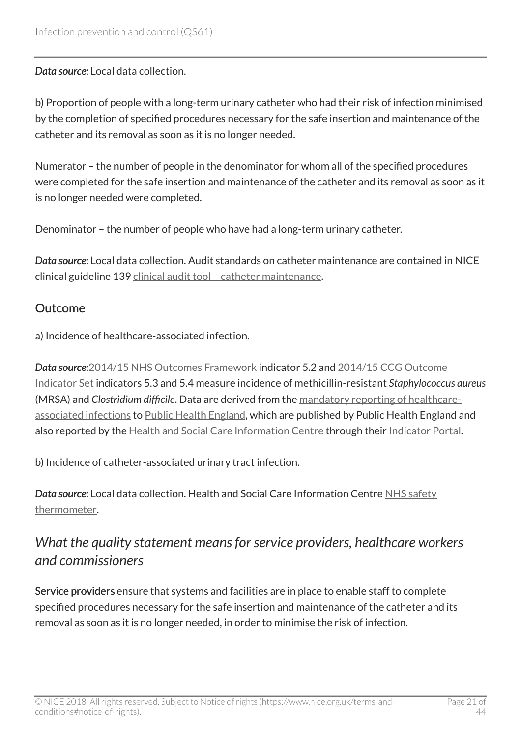*Data source:* Local data collection.

b) Proportion of people with a long-term urinary catheter who had their risk of infection minimised by the completion of specified procedures necessary for the safe insertion and maintenance of the catheter and its removal as soon as it is no longer needed.

Numerator – the number of people in the denominator for whom all of the specified procedures were completed for the safe insertion and maintenance of the catheter and its removal as soon as it is no longer needed were completed.

Denominator – the number of people who have had a long-term urinary catheter.

*Data source:* Local data collection. Audit standards on catheter maintenance are contained in NICE clinical guideline 139 [clinical audit tool – catheter maintenance.](http://www.nice.org.uk/guidance/cg139/resources)

#### Outcome

a) Incidence of healthcare-associated infection.

*Data source:*[2014/15 NHS Outcomes Framework](https://www.gov.uk/government/publications/nhs-outcomes-framework-2014-to-2015) indicator 5.2 and [2014/15 CCG Outcome](http://www.england.nhs.uk/ccg-ois) [Indicator Set](http://www.england.nhs.uk/ccg-ois) indicators 5.3 and 5.4 measure incidence of methicillin-resistant *Staphylococcus aureus* (MRSA) and *Clostridium difficile*. Data are derived from the [mandatory reporting of healthcare](http://www.hpa.org.uk/web/HPAweb&HPAwebStandard/HPAweb_C/1244763936373)[associated infections](http://www.hpa.org.uk/web/HPAweb&HPAwebStandard/HPAweb_C/1244763936373) to [Public Health England](https://www.gov.uk/government/organisations/public-health-england), which are published by Public Health England and also reported by the [Health and Social Care Information Centre](http://www.hscic.gov.uk/) through their [Indicator Portal.](https://indicators.ic.nhs.uk/webview/)

b) Incidence of catheter-associated urinary tract infection.

*Data source:* Local data collection. Health and Social Care Information Centre [NHS safety](http://www.hscic.gov.uk/thermometer) [thermometer.](http://www.hscic.gov.uk/thermometer)

### <span id="page-20-0"></span>*What the quality statement means for service providers, healthcare workers and commissioners*

Service providers ensure that systems and facilities are in place to enable staff to complete specified procedures necessary for the safe insertion and maintenance of the catheter and its removal as soon as it is no longer needed, in order to minimise the risk of infection.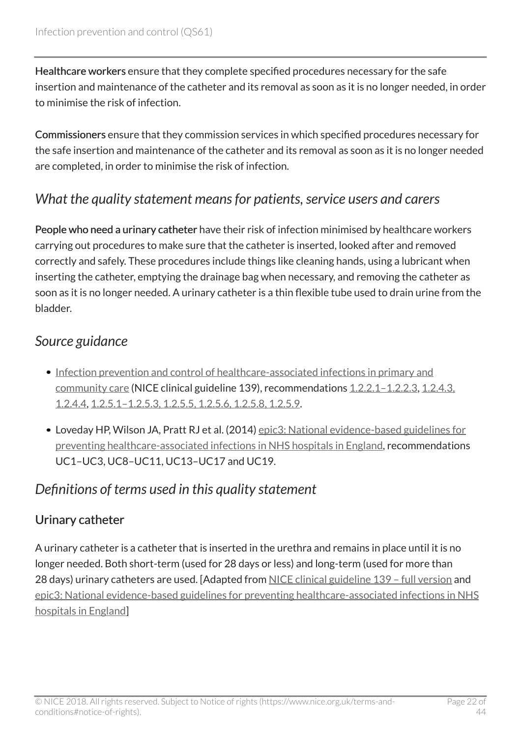Healthcare workers ensure that they complete specified procedures necessary for the safe insertion and maintenance of the catheter and its removal as soon as it is no longer needed, in order to minimise the risk of infection.

Commissioners ensure that they commission services in which specified procedures necessary for the safe insertion and maintenance of the catheter and its removal as soon as it is no longer needed are completed, in order to minimise the risk of infection.

### <span id="page-21-0"></span>*What the quality statement means for patients, service users and carers*

People who need a urinary catheter have their risk of infection minimised by healthcare workers carrying out procedures to make sure that the catheter is inserted, looked after and removed correctly and safely. These procedures include things like cleaning hands, using a lubricant when inserting the catheter, emptying the drainage bag when necessary, and removing the catheter as soon as it is no longer needed. A urinary catheter is a thin flexible tube used to drain urine from the bladder.

### <span id="page-21-1"></span>*Source guidance*

- [Infection prevention and control of healthcare-associated infections in primary and](http://www.nice.org.uk/guidance/cg139) [community care](http://www.nice.org.uk/guidance/cg139) (NICE clinical guideline 139), recommendations [1.2.2.1–1.2.2.3,](http://www.nice.org.uk/guidance/cg139/chapter/guidance#education-of-patients-their-carers-and-healthcare-workers) [1.2.4.3,](http://www.nice.org.uk/guidance/cg139/chapter/guidance#catheter-insertion) [1.2.4.4,](http://www.nice.org.uk/guidance/cg139/chapter/guidance#catheter-insertion) [1.2.5.1–1.2.5.3, 1.2.5.5, 1.2.5.6, 1.2.5.8, 1.2.5.9.](http://www.nice.org.uk/guidance/cg139/chapter/guidance#catheter-maintenance)
- Loveday HP, Wilson JA, Pratt RJ et al. (2014) [epic3: National evidence-based guidelines for](http://www.journalofhospitalinfection.com/article/S0195-6701(13)60012-2/fulltext) [preventing healthcare-associated infections in NHS hospitals in England](http://www.journalofhospitalinfection.com/article/S0195-6701(13)60012-2/fulltext), recommendations UC1–UC3, UC8–UC11, UC13–UC17 and UC19.

### <span id="page-21-2"></span>*Definitions of terms used in this quality statement*

### Urinary catheter

A urinary catheter is a catheter that is inserted in the urethra and remains in place until it is no longer needed. Both short-term (used for 28 days or less) and long-term (used for more than 28 days) urinary catheters are used. [Adapted from [NICE clinical guideline 139 – full version](http://www.nice.org.uk/guidance/cg139/evidence) and [epic3: National evidence-based guidelines for preventing healthcare-associated infections in NHS](http://www.journalofhospitalinfection.com/article/S0195-6701(13)60012-2/fulltext) [hospitals in England\]](http://www.journalofhospitalinfection.com/article/S0195-6701(13)60012-2/fulltext)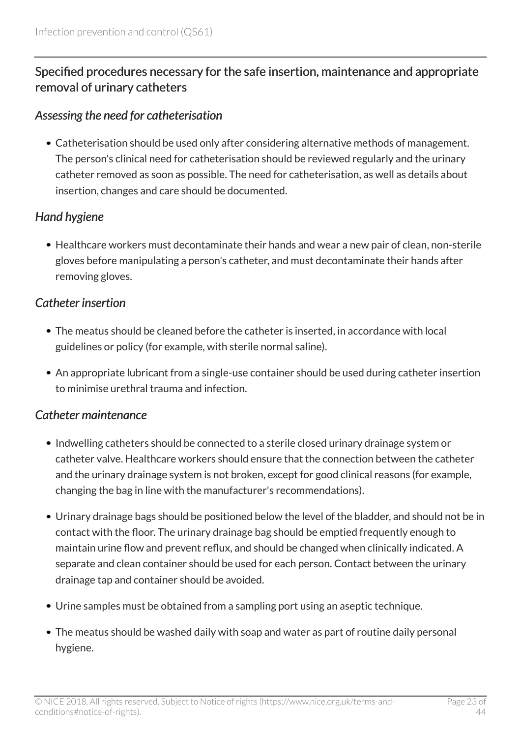#### Specified procedures necessary for the safe insertion, maintenance and appropriate removal of urinary catheters

#### *Assessing the need for catheterisation*

Catheterisation should be used only after considering alternative methods of management. The person's clinical need for catheterisation should be reviewed regularly and the urinary catheter removed as soon as possible. The need for catheterisation, as well as details about insertion, changes and care should be documented.

#### *Hand hygiene*

Healthcare workers must decontaminate their hands and wear a new pair of clean, non-sterile gloves before manipulating a person's catheter, and must decontaminate their hands after removing gloves.

#### *Catheter insertion*

- The meatus should be cleaned before the catheter is inserted, in accordance with local guidelines or policy (for example, with sterile normal saline).
- An appropriate lubricant from a single-use container should be used during catheter insertion to minimise urethral trauma and infection.

#### *Catheter maintenance*

- Indwelling catheters should be connected to a sterile closed urinary drainage system or catheter valve. Healthcare workers should ensure that the connection between the catheter and the urinary drainage system is not broken, except for good clinical reasons (for example, changing the bag in line with the manufacturer's recommendations).
- Urinary drainage bags should be positioned below the level of the bladder, and should not be in contact with the floor. The urinary drainage bag should be emptied frequently enough to maintain urine flow and prevent reflux, and should be changed when clinically indicated. A separate and clean container should be used for each person. Contact between the urinary drainage tap and container should be avoided.
- Urine samples must be obtained from a sampling port using an aseptic technique.
- The meatus should be washed daily with soap and water as part of routine daily personal hygiene.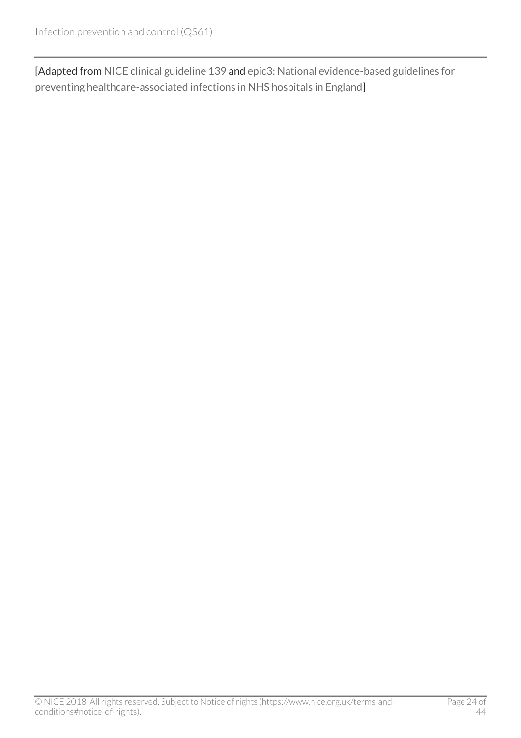[Adapted from [NICE clinical guideline 139](http://www.nice.org.uk/guidance/cg139/evidence) and [epic3: National evidence-based guidelines for](http://www.journalofhospitalinfection.com/article/S0195-6701(13)60012-2/fulltext) [preventing healthcare-associated infections in NHS hospitals in England\]](http://www.journalofhospitalinfection.com/article/S0195-6701(13)60012-2/fulltext)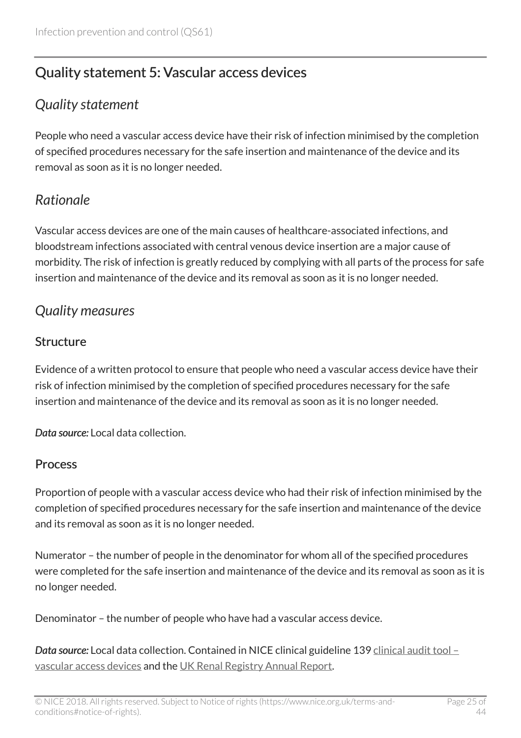# <span id="page-24-0"></span>Quality statement 5: Vascular access devices

### <span id="page-24-1"></span>*Quality statement*

People who need a vascular access device have their risk of infection minimised by the completion of specified procedures necessary for the safe insertion and maintenance of the device and its removal as soon as it is no longer needed.

# <span id="page-24-2"></span>*Rationale*

Vascular access devices are one of the main causes of healthcare-associated infections, and bloodstream infections associated with central venous device insertion are a major cause of morbidity. The risk of infection is greatly reduced by complying with all parts of the process for safe insertion and maintenance of the device and its removal as soon as it is no longer needed.

### <span id="page-24-3"></span>*Quality measures*

#### **Structure**

Evidence of a written protocol to ensure that people who need a vascular access device have their risk of infection minimised by the completion of specified procedures necessary for the safe insertion and maintenance of the device and its removal as soon as it is no longer needed.

*Data source:* Local data collection.

#### Process

Proportion of people with a vascular access device who had their risk of infection minimised by the completion of specified procedures necessary for the safe insertion and maintenance of the device and its removal as soon as it is no longer needed.

Numerator – the number of people in the denominator for whom all of the specified procedures were completed for the safe insertion and maintenance of the device and its removal as soon as it is no longer needed.

Denominator – the number of people who have had a vascular access device.

*Data source:* Local data collection. Contained in NICE clinical guideline 139 [clinical audit tool –](http://www.nice.org.uk/guidance/cg139/resources) [vascular access devices](http://www.nice.org.uk/guidance/cg139/resources) and the [UK Renal Registry Annual Report](https://www.renalreg.org/publications-reports).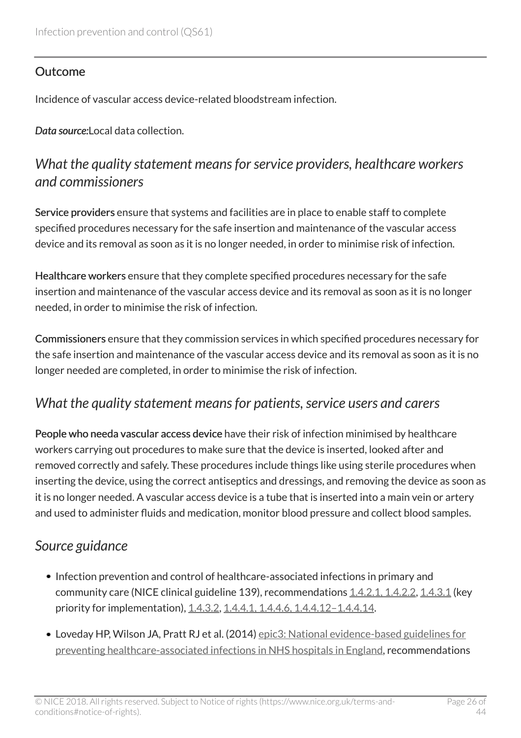#### **Outcome**

Incidence of vascular access device-related bloodstream infection.

Data source: Local data collection.

### <span id="page-25-0"></span>*What the quality statement means for service providers, healthcare workers and commissioners*

Service providers ensure that systems and facilities are in place to enable staff to complete specified procedures necessary for the safe insertion and maintenance of the vascular access device and its removal as soon as it is no longer needed, in order to minimise risk of infection.

Healthcare workers ensure that they complete specified procedures necessary for the safe insertion and maintenance of the vascular access device and its removal as soon as it is no longer needed, in order to minimise the risk of infection.

Commissioners ensure that they commission services in which specified procedures necessary for the safe insertion and maintenance of the vascular access device and its removal as soon as it is no longer needed are completed, in order to minimise the risk of infection.

### <span id="page-25-1"></span>*What the quality statement means for patients, service users and carers*

People who needa vascular access device have their risk of infection minimised by healthcare workers carrying out procedures to make sure that the device is inserted, looked after and removed correctly and safely. These procedures include things like using sterile procedures when inserting the device, using the correct antiseptics and dressings, and removing the device as soon as it is no longer needed. A vascular access device is a tube that is inserted into a main vein or artery and used to administer fluids and medication, monitor blood pressure and collect blood samples.

### <span id="page-25-2"></span>*Source guidance*

- Infection prevention and control of healthcare-associated infections in primary and community care (NICE clinical guideline 139), recommendations [1.4.2.1, 1.4.2.2,](http://www.nice.org.uk/guidance/cg139/chapter/guidance#general-asepsis) [1.4.3.1](http://www.nice.org.uk/guidance/cg139/chapter/guidance#general-asepsis) (key priority for implementation), [1.4.3.2](http://www.nice.org.uk/guidance/cg139/chapter/guidance#general-asepsis), 1.4.4.1, 1.4.4.6, 1.4.4.12-1.4.4.14.
- Loveday HP, Wilson JA, Pratt RJ et al. (2014) [epic3: National evidence-based guidelines for](http://www.journalofhospitalinfection.com/article/S0195-6701(13)60012-2/fulltext) [preventing healthcare-associated infections in NHS hospitals in England](http://www.journalofhospitalinfection.com/article/S0195-6701(13)60012-2/fulltext), recommendations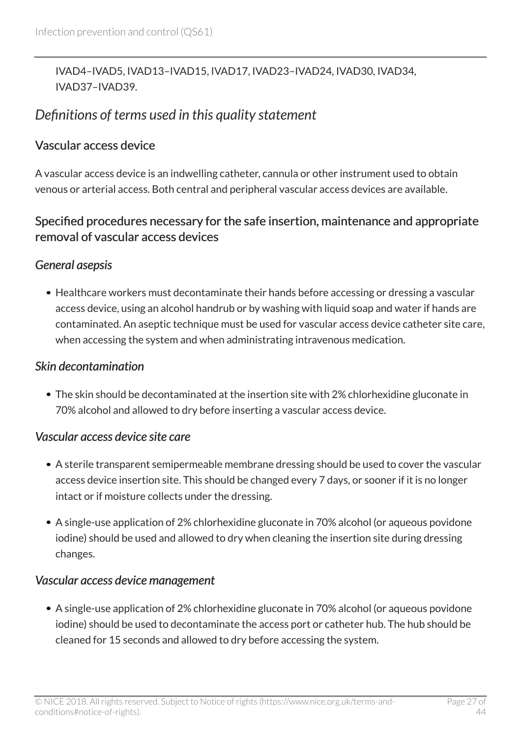#### IVAD4–IVAD5, IVAD13–IVAD15, IVAD17, IVAD23–IVAD24, IVAD30, IVAD34, IVAD37–IVAD39.

### <span id="page-26-0"></span>*Definitions of terms used in this quality statement*

#### Vascular access device

A vascular access device is an indwelling catheter, cannula or other instrument used to obtain venous or arterial access. Both central and peripheral vascular access devices are available.

#### Specified procedures necessary for the safe insertion, maintenance and appropriate removal of vascular access devices

#### *General asepsis*

Healthcare workers must decontaminate their hands before accessing or dressing a vascular access device, using an alcohol handrub or by washing with liquid soap and water if hands are contaminated. An aseptic technique must be used for vascular access device catheter site care, when accessing the system and when administrating intravenous medication.

#### *Skin decontamination*

The skin should be decontaminated at the insertion site with 2% chlorhexidine gluconate in 70% alcohol and allowed to dry before inserting a vascular access device.

#### *Vascular access device site care*

- A sterile transparent semipermeable membrane dressing should be used to cover the vascular access device insertion site. This should be changed every 7 days, or sooner if it is no longer intact or if moisture collects under the dressing.
- A single-use application of 2% chlorhexidine gluconate in 70% alcohol (or aqueous povidone iodine) should be used and allowed to dry when cleaning the insertion site during dressing changes.

#### *Vascular access device management*

A single-use application of 2% chlorhexidine gluconate in 70% alcohol (or aqueous povidone iodine) should be used to decontaminate the access port or catheter hub. The hub should be cleaned for 15 seconds and allowed to dry before accessing the system.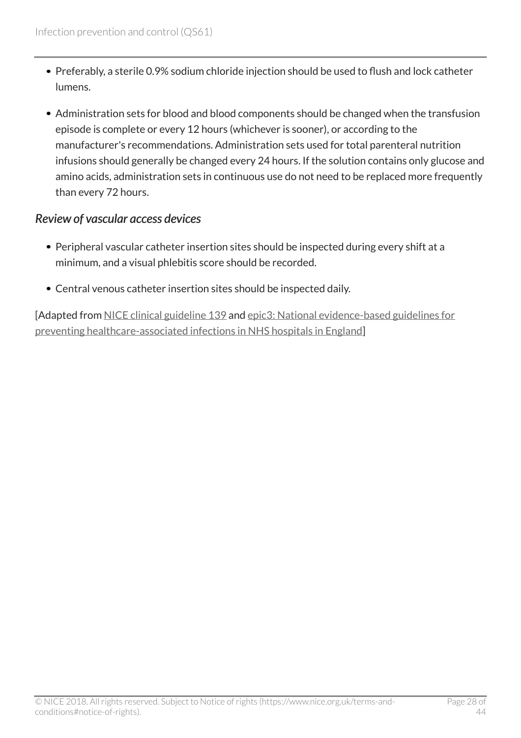- Preferably, a sterile 0.9% sodium chloride injection should be used to flush and lock catheter lumens.
- Administration sets for blood and blood components should be changed when the transfusion episode is complete or every 12 hours (whichever is sooner), or according to the manufacturer's recommendations. Administration sets used for total parenteral nutrition infusions should generally be changed every 24 hours. If the solution contains only glucose and amino acids, administration sets in continuous use do not need to be replaced more frequently than every 72 hours.

#### *Review of vascular access devices*

- Peripheral vascular catheter insertion sites should be inspected during every shift at a minimum, and a visual phlebitis score should be recorded.
- Central venous catheter insertion sites should be inspected daily.

[Adapted from [NICE clinical guideline 139](http://www.nice.org.uk/guidance/cg139) and [epic3: National evidence-based guidelines for](http://www.journalofhospitalinfection.com/article/S0195-6701(13)60012-2/fulltext) [preventing healthcare-associated infections in NHS hospitals in England\]](http://www.journalofhospitalinfection.com/article/S0195-6701(13)60012-2/fulltext)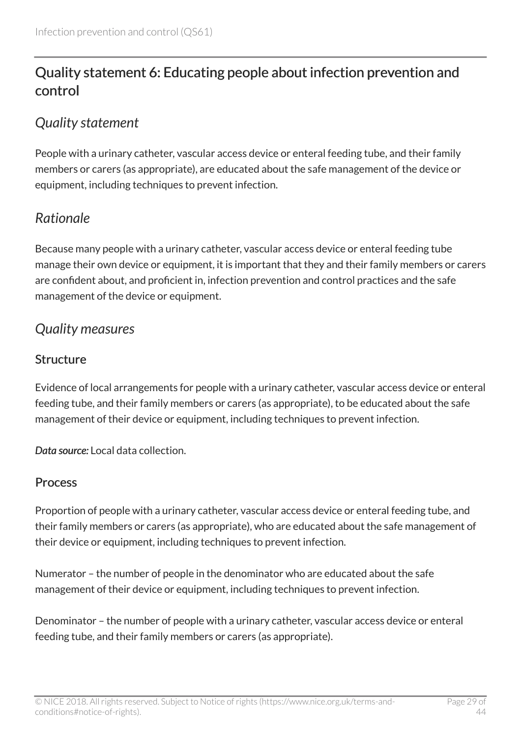# <span id="page-28-0"></span>Quality statement 6: Educating people about infection prevention and control

### <span id="page-28-1"></span>*Quality statement*

People with a urinary catheter, vascular access device or enteral feeding tube, and their family members or carers (as appropriate), are educated about the safe management of the device or equipment, including techniques to prevent infection.

# <span id="page-28-2"></span>*Rationale*

Because many people with a urinary catheter, vascular access device or enteral feeding tube manage their own device or equipment, it is important that they and their family members or carers are confident about, and proficient in, infection prevention and control practices and the safe management of the device or equipment.

### <span id="page-28-3"></span>*Quality measures*

### **Structure**

Evidence of local arrangements for people with a urinary catheter, vascular access device or enteral feeding tube, and their family members or carers (as appropriate), to be educated about the safe management of their device or equipment, including techniques to prevent infection.

*Data source:* Local data collection.

#### Process

Proportion of people with a urinary catheter, vascular access device or enteral feeding tube, and their family members or carers (as appropriate), who are educated about the safe management of their device or equipment, including techniques to prevent infection.

Numerator – the number of people in the denominator who are educated about the safe management of their device or equipment, including techniques to prevent infection.

Denominator – the number of people with a urinary catheter, vascular access device or enteral feeding tube, and their family members or carers (as appropriate).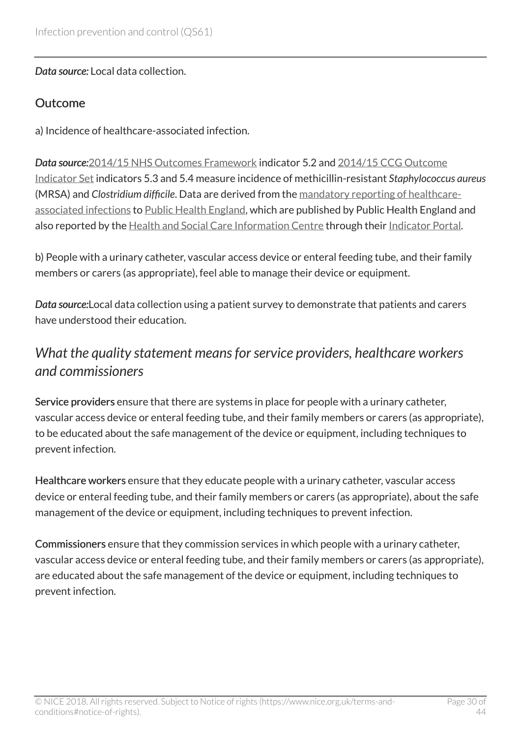*Data source:* Local data collection.

#### Outcome

a) Incidence of healthcare-associated infection.

*Data source:*[2014/15 NHS Outcomes Framework](https://www.gov.uk/government/publications/nhs-outcomes-framework-2014-to-2015) indicator 5.2 and [2014/15 CCG Outcome](http://www.england.nhs.uk/ccg-ois) [Indicator Set](http://www.england.nhs.uk/ccg-ois) indicators 5.3 and 5.4 measure incidence of methicillin-resistant *Staphylococcus aureus* (MRSA) and *Clostridium difficile*. Data are derived from the [mandatory reporting of healthcare](http://www.hpa.org.uk/web/HPAweb&HPAwebStandard/HPAweb_C/1244763936373)[associated infections](http://www.hpa.org.uk/web/HPAweb&HPAwebStandard/HPAweb_C/1244763936373) to [Public Health England](https://www.gov.uk/government/organisations/public-health-england), which are published by Public Health England and also reported by the [Health and Social Care Information Centre](http://www.hscic.gov.uk/) through their [Indicator Portal.](https://indicators.ic.nhs.uk/webview/)

b) People with a urinary catheter, vascular access device or enteral feeding tube, and their family members or carers (as appropriate), feel able to manage their device or equipment.

*Data source:*Local data collection using a patient survey to demonstrate that patients and carers have understood their education.

### <span id="page-29-0"></span>*What the quality statement means for service providers, healthcare workers and commissioners*

Service providers ensure that there are systems in place for people with a urinary catheter, vascular access device or enteral feeding tube, and their family members or carers (as appropriate), to be educated about the safe management of the device or equipment, including techniques to prevent infection.

Healthcare workers ensure that they educate people with a urinary catheter, vascular access device or enteral feeding tube, and their family members or carers (as appropriate), about the safe management of the device or equipment, including techniques to prevent infection.

Commissioners ensure that they commission services in which people with a urinary catheter, vascular access device or enteral feeding tube, and their family members or carers (as appropriate), are educated about the safe management of the device or equipment, including techniques to prevent infection.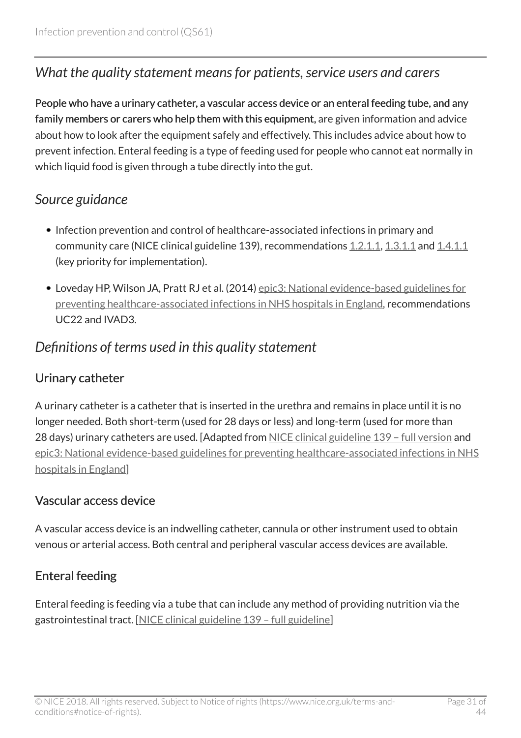### <span id="page-30-0"></span>*What the quality statement means for patients, service users and carers*

People who have a urinary catheter, a vascular access device or an enteral feeding tube, and any family members or carers who help them with this equipment, are given information and advice about how to look after the equipment safely and effectively. This includes advice about how to prevent infection. Enteral feeding is a type of feeding used for people who cannot eat normally in which liquid food is given through a tube directly into the gut.

### <span id="page-30-1"></span>*Source guidance*

- Infection prevention and control of healthcare-associated infections in primary and community care (NICE clinical guideline 139), recommendations [1.2.1.1,](http://www.nice.org.uk/guidance/cg139/chapter/guidance#education-of-patients-their-carers-and-healthcare-workers) [1.3.1.1](http://www.nice.org.uk/guidance/cg139/chapter/guidance#education-of-patients-their-carers-and-healthcare-workers-2) and [1.4.1.1](http://www.nice.org.uk/guidance/cg139/chapter/guidance#education-of-patients-their-carers-and-healthcare-workers-3) (key priority for implementation).
- Loveday HP, Wilson JA, Pratt RJ et al. (2014) [epic3: National evidence-based guidelines for](http://www.journalofhospitalinfection.com/article/S0195-6701(13)60012-2/fulltext) [preventing healthcare-associated infections in NHS hospitals in England](http://www.journalofhospitalinfection.com/article/S0195-6701(13)60012-2/fulltext), recommendations UC22 and IVAD3.

### <span id="page-30-2"></span>*Definitions of terms used in this quality statement*

### Urinary catheter

A urinary catheter is a catheter that is inserted in the urethra and remains in place until it is no longer needed. Both short-term (used for 28 days or less) and long-term (used for more than 28 days) urinary catheters are used. [Adapted from [NICE clinical guideline 139 – full version](http://www.nice.org.uk/guidance/cg139/evidence) and [epic3: National evidence-based guidelines for preventing healthcare-associated infections in NHS](http://www.journalofhospitalinfection.com/article/S0195-6701(13)60012-2/fulltext) [hospitals in England\]](http://www.journalofhospitalinfection.com/article/S0195-6701(13)60012-2/fulltext)

#### Vascular access device

A vascular access device is an indwelling catheter, cannula or other instrument used to obtain venous or arterial access. Both central and peripheral vascular access devices are available.

### Enteral feeding

Enteral feeding is feeding via a tube that can include any method of providing nutrition via the gastrointestinal tract. [[NICE clinical guideline 139 – full guideline\]](http://www.nice.org.uk/guidance/cg139/evidence)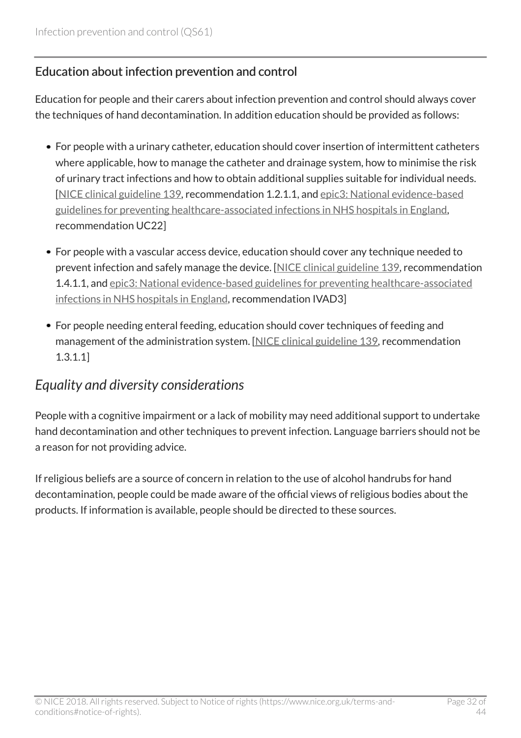#### Education about infection prevention and control

Education for people and their carers about infection prevention and control should always cover the techniques of hand decontamination. In addition education should be provided as follows:

- For people with a urinary catheter, education should cover insertion of intermittent catheters where applicable, how to manage the catheter and drainage system, how to minimise the risk of urinary tract infections and how to obtain additional supplies suitable for individual needs. [[NICE clinical guideline 139,](http://www.nice.org.uk/guidance/cg139/evidence) recommendation 1.2.1.1, and [epic3: National evidence-based](http://www.journalofhospitalinfection.com/article/S0195-6701(13)60012-2/fulltext) [guidelines for preventing healthcare-associated infections in NHS hospitals in England,](http://www.journalofhospitalinfection.com/article/S0195-6701(13)60012-2/fulltext) recommendation UC22]
- For people with a vascular access device, education should cover any technique needed to prevent infection and safely manage the device. [\[NICE clinical guideline 139](http://www.nice.org.uk/guidance/cg139), recommendation 1.4.1.1, and [epic3: National evidence-based guidelines for preventing healthcare-associated](http://www.journalofhospitalinfection.com/article/S0195-6701(13)60012-2/fulltext) [infections in NHS hospitals in England](http://www.journalofhospitalinfection.com/article/S0195-6701(13)60012-2/fulltext), recommendation IVAD3]
- For people needing enteral feeding, education should cover techniques of feeding and management of the administration system. [[NICE clinical guideline 139,](http://www.nice.org.uk/guidance/cg139) recommendation 1.3.1.1]

### <span id="page-31-0"></span>*Equality and diversity considerations*

People with a cognitive impairment or a lack of mobility may need additional support to undertake hand decontamination and other techniques to prevent infection. Language barriers should not be a reason for not providing advice.

If religious beliefs are a source of concern in relation to the use of alcohol handrubs for hand decontamination, people could be made aware of the official views of religious bodies about the products. If information is available, people should be directed to these sources.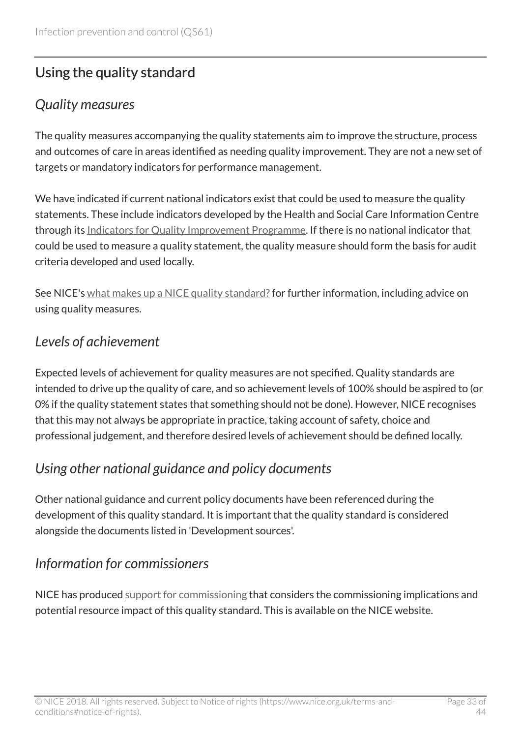# <span id="page-32-0"></span>Using the quality standard

### <span id="page-32-1"></span>*Quality measures*

The quality measures accompanying the quality statements aim to improve the structure, process and outcomes of care in areas identified as needing quality improvement. They are not a new set of targets or mandatory indicators for performance management.

We have indicated if current national indicators exist that could be used to measure the quality statements. These include indicators developed by the Health and Social Care Information Centre through its [Indicators for Quality Improvement Programme](http://www.ic.nhs.uk/). If there is no national indicator that could be used to measure a quality statement, the quality measure should form the basis for audit criteria developed and used locally.

See NICE's [what makes up a NICE quality standard?](http://www.nice.org.uk/standards-and-indicators/developing-nice-quality-standards) for further information, including advice on using quality measures.

### <span id="page-32-2"></span>*Levels of achievement*

Expected levels of achievement for quality measures are not specified. Quality standards are intended to drive up the quality of care, and so achievement levels of 100% should be aspired to (or 0% if the quality statement states that something should not be done). However, NICE recognises that this may not always be appropriate in practice, taking account of safety, choice and professional judgement, and therefore desired levels of achievement should be defined locally.

# <span id="page-32-3"></span>*Using other national guidance and policy documents*

Other national guidance and current policy documents have been referenced during the development of this quality standard. It is important that the quality standard is considered alongside the documents listed in 'Development sources'.

# <span id="page-32-4"></span>*Information for commissioners*

NICE has produced [support for commissioning](http://www.nice.org.uk/guidance/QS61/Resources) that considers the commissioning implications and potential resource impact of this quality standard. This is available on the NICE website.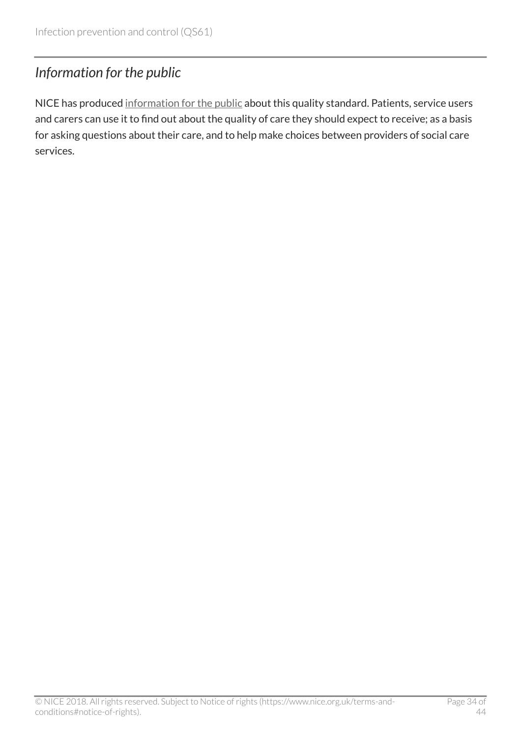# <span id="page-33-0"></span>*Information for the public*

NICE has produced [information for the public](http://www.nice.org.uk/guidance/QS61/Informationforpublic) about this quality standard. Patients, service users and carers can use it to find out about the quality of care they should expect to receive; as a basis for asking questions about their care, and to help make choices between providers of social care services.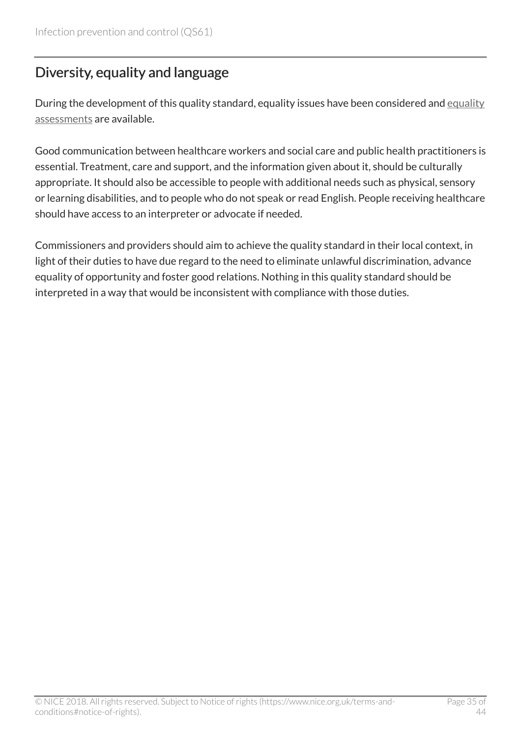# <span id="page-34-0"></span>Diversity, equality and language

During the development of this quality standard, [equality](http://www.nice.org.uk/guidance/QS61/Documents) issues have been considered and equality [assessments](http://www.nice.org.uk/guidance/QS61/Documents) are available.

Good communication between healthcare workers and social care and public health practitioners is essential. Treatment, care and support, and the information given about it, should be culturally appropriate. It should also be accessible to people with additional needs such as physical, sensory or learning disabilities, and to people who do not speak or read English. People receiving healthcare should have access to an interpreter or advocate if needed.

Commissioners and providers should aim to achieve the quality standard in their local context, in light of their duties to have due regard to the need to eliminate unlawful discrimination, advance equality of opportunity and foster good relations. Nothing in this quality standard should be interpreted in a way that would be inconsistent with compliance with those duties.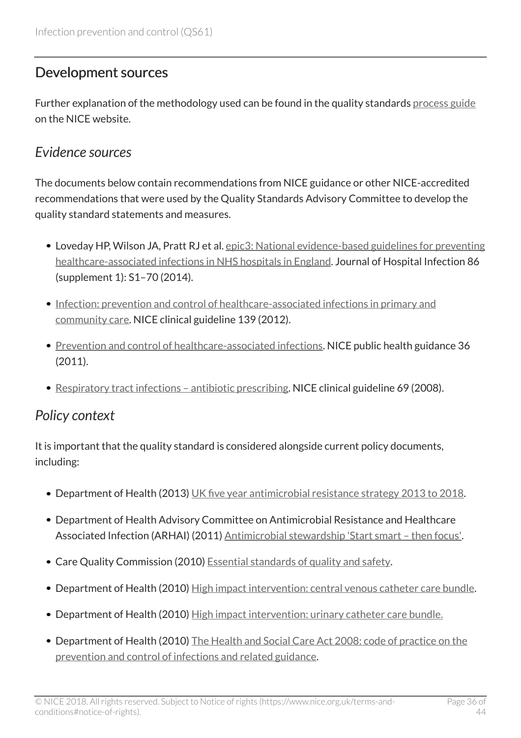### <span id="page-35-0"></span>Development sources

Further explanation of the methodology used can be found in the quality standards [process guide](http://www.nice.org.uk/proxy/?sourceUrl=http%3a%2f%2fwww.nice.org.uk%2fguidance%2fqualitystandards%2fmoreinfoaboutnicequalitystandards.jsp%3fdomedia%3d1%26mid%3dB14F5DF6-D9AA-9220-8A53755D4D1EFDE4) on the NICE website.

### <span id="page-35-1"></span>*Evidence sources*

The documents below contain recommendations from NICE guidance or other NICE-accredited recommendations that were used by the Quality Standards Advisory Committee to develop the quality standard statements and measures.

- Loveday HP, Wilson JA, Pratt RJ et al. [epic3: National evidence-based guidelines for preventing](http://www.journalofhospitalinfection.com/article/S0195-6701(13)60012-2/fulltext) [healthcare-associated infections in NHS hospitals in England](http://www.journalofhospitalinfection.com/article/S0195-6701(13)60012-2/fulltext). Journal of Hospital Infection 86 (supplement 1): S1–70 (2014).
- [Infection: prevention and control of healthcare-associated infections in primary and](http://www.nice.org.uk/guidance/cg139) [community care](http://www.nice.org.uk/guidance/cg139). NICE clinical guideline 139 (2012).
- [Prevention and control of healthcare-associated infections.](http://www.nice.org.uk/guidance/ph36) NICE public health guidance 36 (2011).
- [Respiratory tract infections antibiotic prescribing](http://www.nice.org.uk/guidance/cg69). NICE clinical guideline 69 (2008).

# <span id="page-35-2"></span>*Policy context*

It is important that the quality standard is considered alongside current policy documents, including:

- Department of Health (2013) [UK five year antimicrobial resistance strategy 2013 to 2018.](https://www.gov.uk/government/publications/uk-5-year-antimicrobial-resistance-strategy-2013-to-2018)
- Department of Health Advisory Committee on Antimicrobial Resistance and Healthcare Associated Infection (ARHAI) (2011) Antimicrobial stewardship 'Start smart - then focus'.
- Care Quality Commission (2010) [Essential standards of quality and safety.](http://www.cqc.org.uk/content/essential-standards-quality-and-safety)
- Department of Health (2010) [High impact intervention: central venous catheter care bundle.](http://webarchive.nationalarchives.gov.uk/20120118164404/http:/hcai.dh.gov.uk/whatdoido/high-impact-interventions/)
- Department of Health (2010) [High impact intervention: urinary catheter care bundle.](http://webarchive.nationalarchives.gov.uk/20120118164404/http:/hcai.dh.gov.uk/whatdoido/high-impact-interventions/)
- Department of Health (2010) [The Health and Social Care Act 2008: code of practice on the](https://www.gov.uk/government/publications/the-health-and-social-care-act-2008-code-of-practice-on-the-prevention-and-control-of-infections-and-related-guidance) [prevention and control of infections and related guidance](https://www.gov.uk/government/publications/the-health-and-social-care-act-2008-code-of-practice-on-the-prevention-and-control-of-infections-and-related-guidance).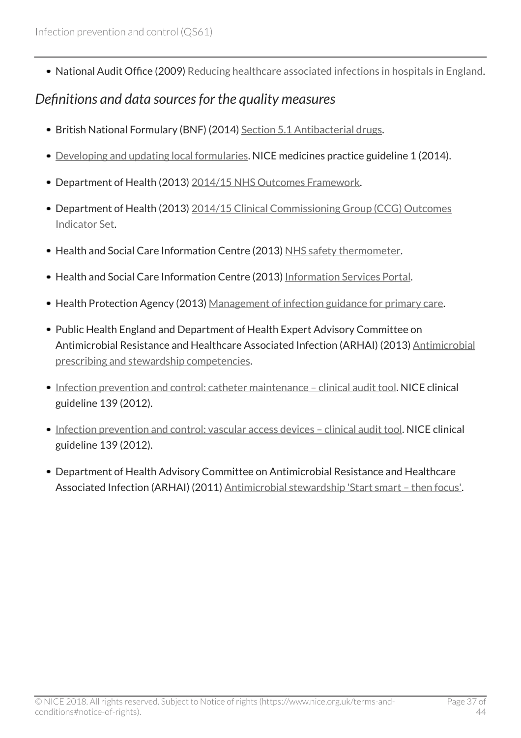• National Audit Office (2009) [Reducing healthcare associated infections in hospitals in England.](http://www.nao.org.uk/report/reducing-healthcare-associated-infections-in-hospitals-in-england/)

### <span id="page-36-0"></span>*Definitions and data sources for the quality measures*

- British National Formulary (BNF) (2014) [Section 5.1 Antibacterial drugs](http://www.evidence.nhs.uk/formulary/bnf/current/5-infections/51-antibacterial-drugs).
- [Developing and updating local formularies](http://www.nice.org.uk/proxy/?sourceUrl=http%3a%2f%2fwww.nice.org.uk%2fmpc%2fmedicinespracticeguidelines%2fMPG1.jsp). NICE medicines practice guideline 1 (2014).
- Department of Health (2013) [2014/15 NHS Outcomes Framework.](https://www.gov.uk/government/publications/nhs-outcomes-framework-2014-to-2015)
- Department of Health (2013) [2014/15 Clinical Commissioning Group \(CCG\) Outcomes](http://www.england.nhs.uk/ccg-ois) [Indicator Set.](http://www.england.nhs.uk/ccg-ois)
- Health and Social Care Information Centre (2013) [NHS safety thermometer](http://www.hscic.gov.uk/thermometer).
- Health and Social Care Information Centre (2013) [Information Services Portal.](https://apps.nhsbsa.nhs.uk/infosystems/welcome)
- Health Protection Agency (2013) [Management of infection guidance for primary care](http://www.hpa.org.uk/infections/topics_az/primary_care_guidance/).
- Public Health England and Department of Health Expert Advisory Committee on [Antimicrobial](https://www.gov.uk/government/publications/antimicrobial-prescribing-and-stewardship-competencies) Resistance and Healthcare Associated Infection (ARHAI) (2013) Antimicrobial [prescribing and stewardship competencies.](https://www.gov.uk/government/publications/antimicrobial-prescribing-and-stewardship-competencies)
- Infection prevention and control: catheter maintenance clinical audit tool. NICE clinical guideline 139 (2012).
- [Infection prevention and control: vascular access devices clinical audit tool](http://www.nice.org.uk/guidance/cg139/Resources). NICE clinical guideline 139 (2012).
- Department of Health Advisory Committee on Antimicrobial Resistance and Healthcare Associated Infection (ARHAI) (2011) Antimicrobial stewardship 'Start smart - then focus'.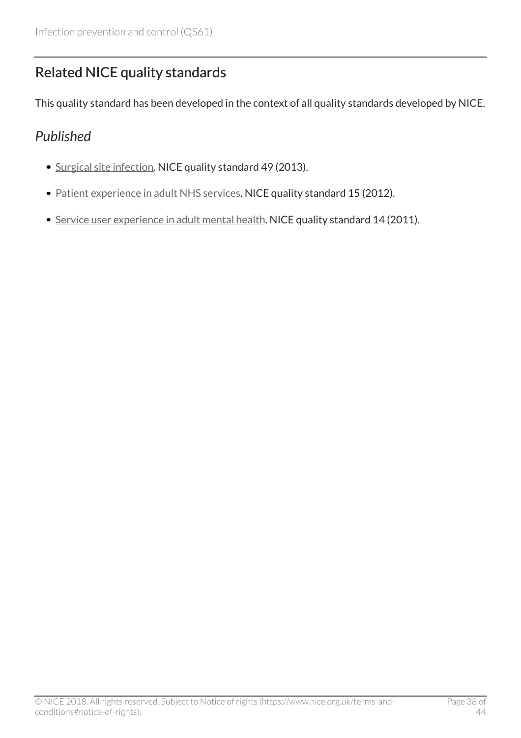# <span id="page-37-0"></span>Related NICE quality standards

This quality standard has been developed in the context of all quality standards developed by NICE.

### <span id="page-37-1"></span>*Published*

- [Surgical site infection](http://www.nice.org.uk/guidance/qs49). NICE quality standard 49 (2013).
- [Patient experience in adult NHS services.](http://www.nice.org.uk/guidance/qs15) NICE quality standard 15 (2012).
- [Service user experience in adult mental health.](http://www.nice.org.uk/guidance/qs14) NICE quality standard 14 (2011).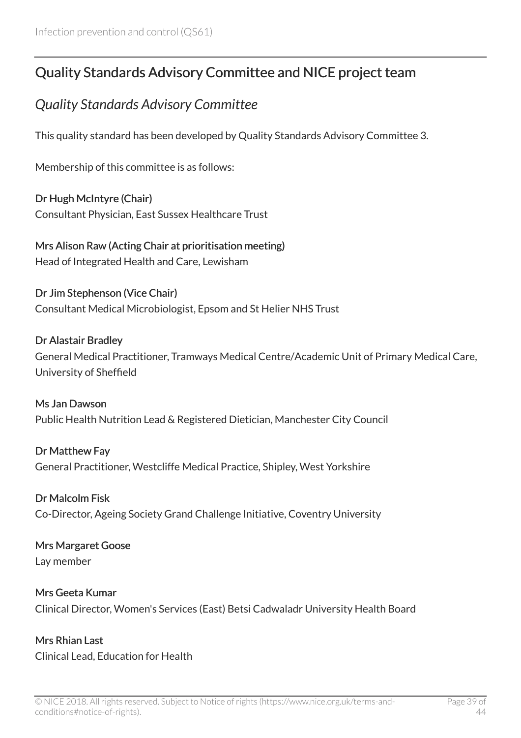# <span id="page-38-0"></span>Quality Standards Advisory Committee and NICE project team

### <span id="page-38-1"></span>*Quality Standards Advisory Committee*

This quality standard has been developed by Quality Standards Advisory Committee 3.

Membership of this committee is as follows:

Dr Hugh McIntyre (Chair) Consultant Physician, East Sussex Healthcare Trust

Mrs Alison Raw (Acting Chair at prioritisation meeting) Head of Integrated Health and Care, Lewisham

Dr Jim Stephenson (Vice Chair) Consultant Medical Microbiologist, Epsom and St Helier NHS Trust

#### Dr Alastair Bradley

General Medical Practitioner, Tramways Medical Centre/Academic Unit of Primary Medical Care, University of Sheffield

Ms Jan Dawson Public Health Nutrition Lead & Registered Dietician, Manchester City Council

Dr Matthew Fay General Practitioner, Westcliffe Medical Practice, Shipley, West Yorkshire

Dr Malcolm Fisk Co-Director, Ageing Society Grand Challenge Initiative, Coventry University

#### Mrs Margaret Goose Lay member

Mrs Geeta Kumar Clinical Director, Women's Services (East) Betsi Cadwaladr University Health Board

Mrs Rhian Last Clinical Lead, Education for Health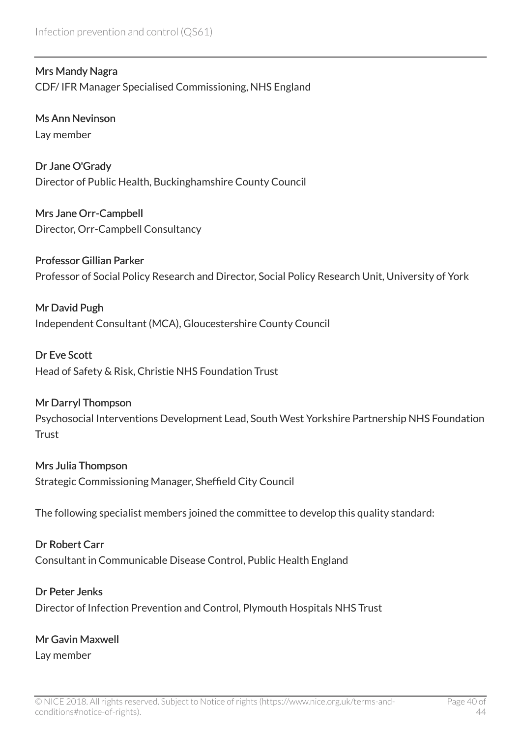Mrs Mandy Nagra CDF/ IFR Manager Specialised Commissioning, NHS England

Ms Ann Nevinson Lay member

Dr Jane O'Grady Director of Public Health, Buckinghamshire County Council

Mrs Jane Orr-Campbell Director, Orr-Campbell Consultancy

Professor Gillian Parker Professor of Social Policy Research and Director, Social Policy Research Unit, University of York

Mr David Pugh Independent Consultant (MCA), Gloucestershire County Council

Dr Eve Scott Head of Safety & Risk, Christie NHS Foundation Trust

#### Mr Darryl Thompson

Psychosocial Interventions Development Lead, South West Yorkshire Partnership NHS Foundation **Trust** 

#### Mrs Julia Thompson

Strategic Commissioning Manager, Sheffield City Council

The following specialist members joined the committee to develop this quality standard:

#### Dr Robert Carr

Consultant in Communicable Disease Control, Public Health England

#### Dr Peter Jenks

Director of Infection Prevention and Control, Plymouth Hospitals NHS Trust

#### Mr Gavin Maxwell

Lay member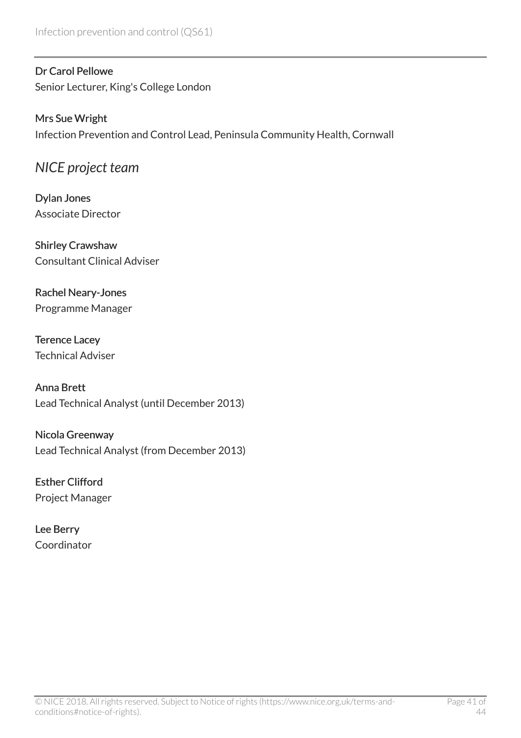#### Dr Carol Pellowe

Senior Lecturer, King's College London

#### Mrs Sue Wright Infection Prevention and Control Lead, Peninsula Community Health, Cornwall

### <span id="page-40-0"></span>*NICE project team*

Dylan Jones Associate Director

Shirley Crawshaw Consultant Clinical Adviser

#### Rachel Neary-Jones Programme Manager

Terence Lacey Technical Adviser

Anna Brett Lead Technical Analyst (until December 2013)

Nicola Greenway Lead Technical Analyst (from December 2013)

Esther Clifford Project Manager

Lee Berry Coordinator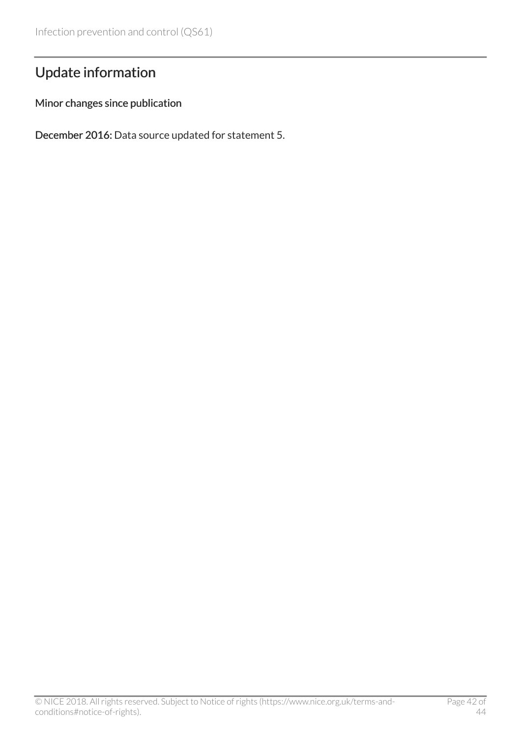# <span id="page-41-0"></span>Update information

#### Minor changes since publication

December 2016: Data source updated for statement 5.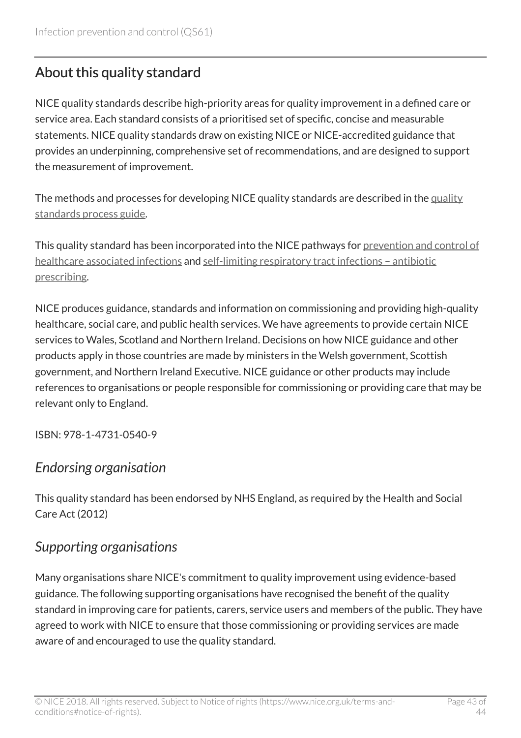# <span id="page-42-0"></span>About this quality standard

NICE quality standards describe high-priority areas for quality improvement in a defined care or service area. Each standard consists of a prioritised set of specific, concise and measurable statements. NICE quality standards draw on existing NICE or NICE-accredited guidance that provides an underpinning, comprehensive set of recommendations, and are designed to support the measurement of improvement.

The methods and processes for developing NICE quality standards are described in the [quality](http://www.nice.org.uk/proxy/?sourceUrl=http%3a%2f%2fwww.nice.org.uk%2fguidance%2fqualitystandards%2fmoreinfoaboutnicequalitystandards.jsp%3fdomedia%3d1%26mid%3dB14F5DF6-D9AA-9220-8A53755D4D1EFDE4) [standards process guide.](http://www.nice.org.uk/proxy/?sourceUrl=http%3a%2f%2fwww.nice.org.uk%2fguidance%2fqualitystandards%2fmoreinfoaboutnicequalitystandards.jsp%3fdomedia%3d1%26mid%3dB14F5DF6-D9AA-9220-8A53755D4D1EFDE4)

This quality standard has been incorporated into the NICE pathways for [prevention and control of](http://pathways.nice.org.uk/pathways/prevention-and-control-of-healthcare-associated-infections) [healthcare associated infections](http://pathways.nice.org.uk/pathways/prevention-and-control-of-healthcare-associated-infections) and self-limiting respiratory tract infections - antibiotic [prescribing](http://pathways.nice.org.uk/pathways/self-limiting-respiratory-tract-infections---antibiotic-prescribing).

NICE produces guidance, standards and information on commissioning and providing high-quality healthcare, social care, and public health services. We have agreements to provide certain NICE services to Wales, Scotland and Northern Ireland. Decisions on how NICE guidance and other products apply in those countries are made by ministers in the Welsh government, Scottish government, and Northern Ireland Executive. NICE guidance or other products may include references to organisations or people responsible for commissioning or providing care that may be relevant only to England.

ISBN: 978-1-4731-0540-9

### *Endorsing organisation*

This quality standard has been endorsed by NHS England, as required by the Health and Social Care Act (2012)

### *Supporting organisations*

Many organisations share NICE's commitment to quality improvement using evidence-based guidance. The following supporting organisations have recognised the benefit of the quality standard in improving care for patients, carers, service users and members of the public. They have agreed to work with NICE to ensure that those commissioning or providing services are made aware of and encouraged to use the quality standard.